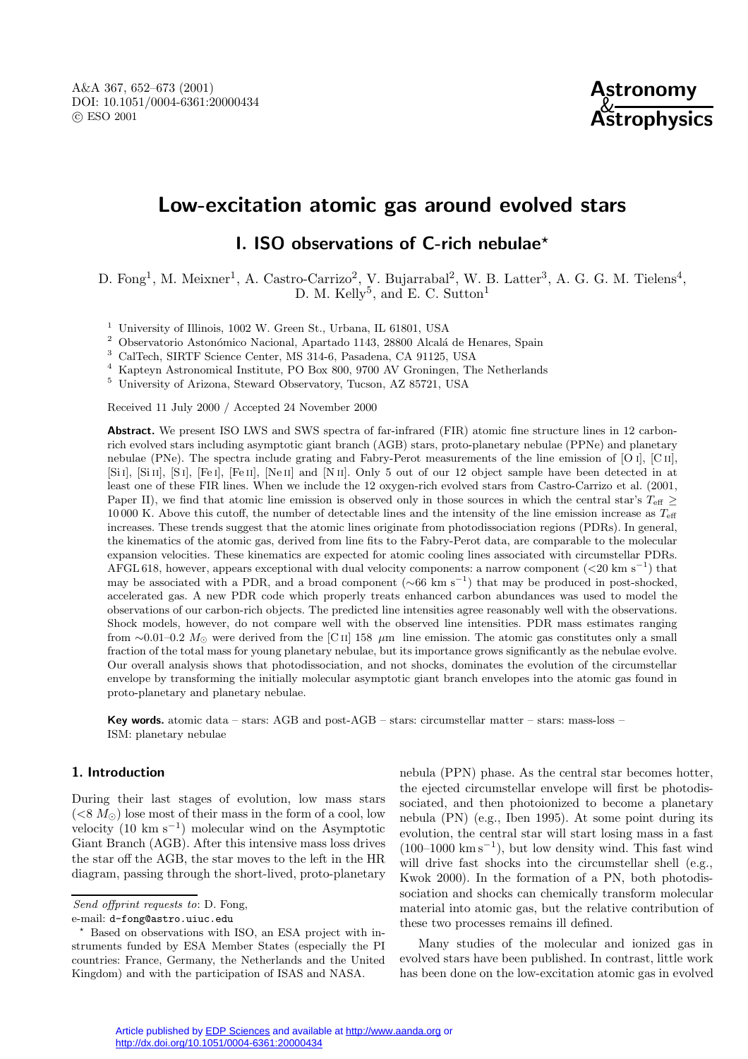# **Low-excitation atomic gas around evolved stars**

## **I. ISO observations of C-rich nebulae***?*

D. Fong<sup>1</sup>, M. Meixner<sup>1</sup>, A. Castro-Carrizo<sup>2</sup>, V. Bujarrabal<sup>2</sup>, W. B. Latter<sup>3</sup>, A. G. G. M. Tielens<sup>4</sup>, D. M. Kelly<sup>5</sup>, and E. C. Sutton<sup>1</sup>

<sup>1</sup> University of Illinois, 1002 W. Green St., Urbana, IL 61801, USA

 $^2$  Observatorio Astonómico Nacional, Apartado 1143, 28800 Alcalá de Henares, Spain

<sup>3</sup> CalTech, SIRTF Science Center, MS 314-6, Pasadena, CA 91125, USA

<sup>4</sup> Kapteyn Astronomical Institute, PO Box 800, 9700 AV Groningen, The Netherlands

<sup>5</sup> University of Arizona, Steward Observatory, Tucson, AZ 85721, USA

Received 11 July 2000 / Accepted 24 November 2000

**Abstract.** We present ISO LWS and SWS spectra of far-infrared (FIR) atomic fine structure lines in 12 carbonrich evolved stars including asymptotic giant branch (AGB) stars, proto-planetary nebulae (PPNe) and planetary nebulae (PNe). The spectra include grating and Fabry-Perot measurements of the line emission of [O i], [C ii], [Si I], [Si II], [S i], [Fe I], [Fe II], [Ne II] and [N II]. Only 5 out of our 12 object sample have been detected in at least one of these FIR lines. When we include the 12 oxygen-rich evolved stars from Castro-Carrizo et al. (2001, Paper II), we find that atomic line emission is observed only in those sources in which the central star's  $T_{\text{eff}} \geq$ 10 000 K. Above this cutoff, the number of detectable lines and the intensity of the line emission increase as Teff increases. These trends suggest that the atomic lines originate from photodissociation regions (PDRs). In general, the kinematics of the atomic gas, derived from line fits to the Fabry-Perot data, are comparable to the molecular expansion velocities. These kinematics are expected for atomic cooling lines associated with circumstellar PDRs. AFGL 618, however, appears exceptional with dual velocity components: a narrow component (<20 km s−<sup>1</sup>) that may be associated with a PDR, and a broad component ( $\sim 66$  km s<sup>-1</sup>) that may be produced in post-shocked, accelerated gas. A new PDR code which properly treats enhanced carbon abundances was used to model the observations of our carbon-rich objects. The predicted line intensities agree reasonably well with the observations. Shock models, however, do not compare well with the observed line intensities. PDR mass estimates ranging from ~0.01–0.2  $M_{\odot}$  were derived from the [C ii] 158  $\mu$ m line emission. The atomic gas constitutes only a small fraction of the total mass for young planetary nebulae, but its importance grows significantly as the nebulae evolve. Our overall analysis shows that photodissociation, and not shocks, dominates the evolution of the circumstellar envelope by transforming the initially molecular asymptotic giant branch envelopes into the atomic gas found in proto-planetary and planetary nebulae.

**Key words.** atomic data – stars: AGB and post-AGB – stars: circumstellar matter – stars: mass-loss – ISM: planetary nebulae

## **1. Introduction**

During their last stages of evolution, low mass stars  $(< 8 M_{\odot})$  lose most of their mass in the form of a cool, low velocity (10 km s−<sup>1</sup>) molecular wind on the Asymptotic Giant Branch (AGB). After this intensive mass loss drives the star off the AGB, the star moves to the left in the HR diagram, passing through the short-lived, proto-planetary

Send offprint requests to: D. Fong,

e-mail: d-fong@astro.uiuc.edu

nebula (PPN) phase. As the central star becomes hotter, the ejected circumstellar envelope will first be photodissociated, and then photoionized to become a planetary nebula (PN) (e.g., Iben 1995). At some point during its evolution, the central star will start losing mass in a fast  $(100–1000 \text{ km s}^{-1})$ , but low density wind. This fast wind will drive fast shocks into the circumstellar shell (e.g., Kwok 2000). In the formation of a PN, both photodissociation and shocks can chemically transform molecular material into atomic gas, but the relative contribution of these two processes remains ill defined.

Many studies of the molecular and ionized gas in evolved stars have been published. In contrast, little work has been done on the low-excitation atomic gas in evolved

<sup>?</sup> Based on observations with ISO, an ESA project with instruments funded by ESA Member States (especially the PI countries: France, Germany, the Netherlands and the United Kingdom) and with the participation of ISAS and NASA.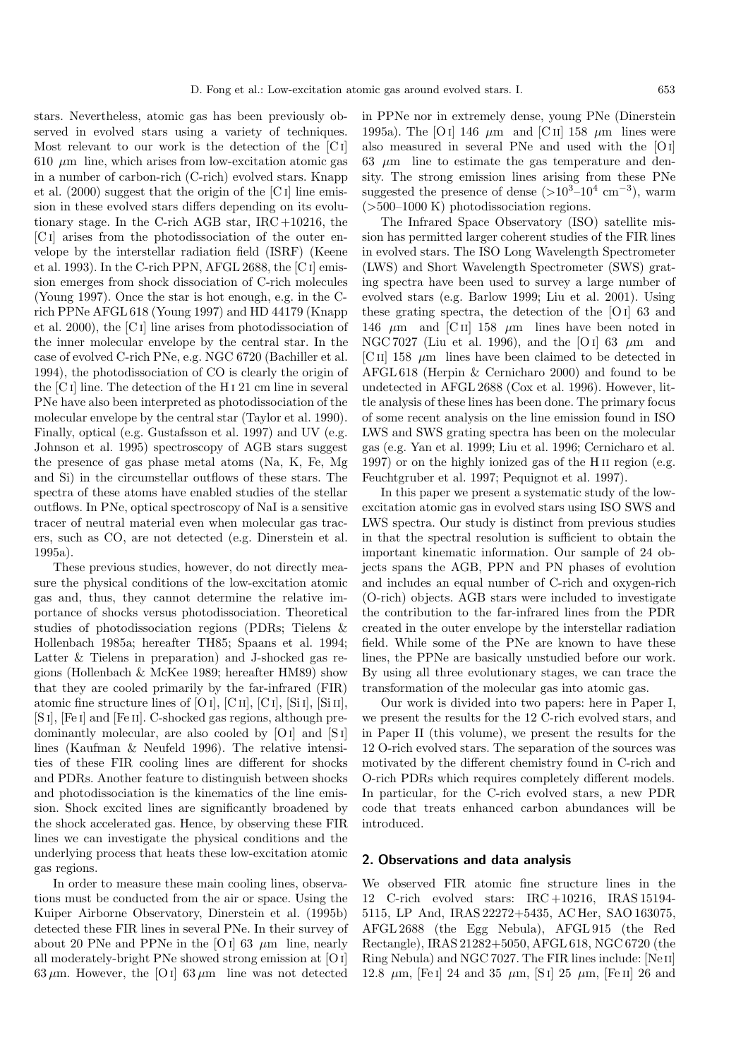stars. Nevertheless, atomic gas has been previously observed in evolved stars using a variety of techniques. Most relevant to our work is the detection of the [C i]  $610 \mu m$  line, which arises from low-excitation atomic gas in a number of carbon-rich (C-rich) evolved stars. Knapp et al. (2000) suggest that the origin of the [C i] line emission in these evolved stars differs depending on its evolutionary stage. In the C-rich AGB star, IRC +10216, the [C i] arises from the photodissociation of the outer envelope by the interstellar radiation field (ISRF) (Keene et al. 1993). In the C-rich PPN, AFGL 2688, the [C i] emission emerges from shock dissociation of C-rich molecules (Young 1997). Once the star is hot enough, e.g. in the Crich PPNe AFGL 618 (Young 1997) and HD 44179 (Knapp et al. 2000), the [C i] line arises from photodissociation of the inner molecular envelope by the central star. In the case of evolved C-rich PNe, e.g. NGC 6720 (Bachiller et al. 1994), the photodissociation of CO is clearly the origin of the [C i] line. The detection of the H i 21 cm line in several PNe have also been interpreted as photodissociation of the molecular envelope by the central star (Taylor et al. 1990). Finally, optical (e.g. Gustafsson et al. 1997) and UV (e.g. Johnson et al. 1995) spectroscopy of AGB stars suggest the presence of gas phase metal atoms (Na, K, Fe, Mg and Si) in the circumstellar outflows of these stars. The spectra of these atoms have enabled studies of the stellar outflows. In PNe, optical spectroscopy of NaI is a sensitive tracer of neutral material even when molecular gas tracers, such as CO, are not detected (e.g. Dinerstein et al. 1995a).

These previous studies, however, do not directly measure the physical conditions of the low-excitation atomic gas and, thus, they cannot determine the relative importance of shocks versus photodissociation. Theoretical studies of photodissociation regions (PDRs; Tielens & Hollenbach 1985a; hereafter TH85; Spaans et al. 1994; Latter & Tielens in preparation) and J-shocked gas regions (Hollenbach & McKee 1989; hereafter HM89) show that they are cooled primarily by the far-infrared (FIR) atomic fine structure lines of [O i], [C ii], [C i], [Si i], [Si ii], [S i], [Fe i] and [Fe ii]. C-shocked gas regions, although predominantly molecular, are also cooled by [O<sub>I</sub>] and [S<sub>I</sub>] lines (Kaufman & Neufeld 1996). The relative intensities of these FIR cooling lines are different for shocks and PDRs. Another feature to distinguish between shocks and photodissociation is the kinematics of the line emission. Shock excited lines are significantly broadened by the shock accelerated gas. Hence, by observing these FIR lines we can investigate the physical conditions and the underlying process that heats these low-excitation atomic gas regions.

In order to measure these main cooling lines, observations must be conducted from the air or space. Using the Kuiper Airborne Observatory, Dinerstein et al. (1995b) detected these FIR lines in several PNe. In their survey of about 20 PNe and PPNe in the [O i] 63  $\mu$ m line, nearly all moderately-bright PNe showed strong emission at [Oi]  $63 \mu m$ . However, the [O i]  $63 \mu m$  line was not detected

in PPNe nor in extremely dense, young PNe (Dinerstein 1995a). The [O i] 146  $\mu$ m and [C ii] 158  $\mu$ m lines were also measured in several PNe and used with the [Oi] 63  $\mu$ m line to estimate the gas temperature and density. The strong emission lines arising from these PNe suggested the presence of dense  $(>10^{3}-10^{4} \text{ cm}^{-3})$ , warm  $(>500-1000 \text{ K})$  photodissociation regions.

The Infrared Space Observatory (ISO) satellite mission has permitted larger coherent studies of the FIR lines in evolved stars. The ISO Long Wavelength Spectrometer (LWS) and Short Wavelength Spectrometer (SWS) grating spectra have been used to survey a large number of evolved stars (e.g. Barlow 1999; Liu et al. 2001). Using these grating spectra, the detection of the [O i] 63 and 146  $\mu$ m and [C II] 158  $\mu$ m lines have been noted in NGC 7027 (Liu et al. 1996), and the [O I] 63  $\mu$ m and [C II] 158  $\mu$ m lines have been claimed to be detected in AFGL 618 (Herpin & Cernicharo 2000) and found to be undetected in AFGL 2688 (Cox et al. 1996). However, little analysis of these lines has been done. The primary focus of some recent analysis on the line emission found in ISO LWS and SWS grating spectra has been on the molecular gas (e.g. Yan et al. 1999; Liu et al. 1996; Cernicharo et al. 1997) or on the highly ionized gas of the H ii region (e.g. Feuchtgruber et al. 1997; Pequignot et al. 1997).

In this paper we present a systematic study of the lowexcitation atomic gas in evolved stars using ISO SWS and LWS spectra. Our study is distinct from previous studies in that the spectral resolution is sufficient to obtain the important kinematic information. Our sample of 24 objects spans the AGB, PPN and PN phases of evolution and includes an equal number of C-rich and oxygen-rich (O-rich) objects. AGB stars were included to investigate the contribution to the far-infrared lines from the PDR created in the outer envelope by the interstellar radiation field. While some of the PNe are known to have these lines, the PPNe are basically unstudied before our work. By using all three evolutionary stages, we can trace the transformation of the molecular gas into atomic gas.

Our work is divided into two papers: here in Paper I, we present the results for the 12 C-rich evolved stars, and in Paper II (this volume), we present the results for the 12 O-rich evolved stars. The separation of the sources was motivated by the different chemistry found in C-rich and O-rich PDRs which requires completely different models. In particular, for the C-rich evolved stars, a new PDR code that treats enhanced carbon abundances will be introduced.

## **2. Observations and data analysis**

We observed FIR atomic fine structure lines in the 12 C-rich evolved stars: IRC +10216, IRAS 15194- 5115, LP And, IRAS 22272+5435, AC Her, SAO 163075, AFGL 2688 (the Egg Nebula), AFGL 915 (the Red Rectangle), IRAS 21282+5050, AFGL 618, NGC 6720 (the Ring Nebula) and NGC 7027. The FIR lines include: [Ne ii] 12.8  $\mu$ m, [Fe I] 24 and 35  $\mu$ m, [S I] 25  $\mu$ m, [Fe II] 26 and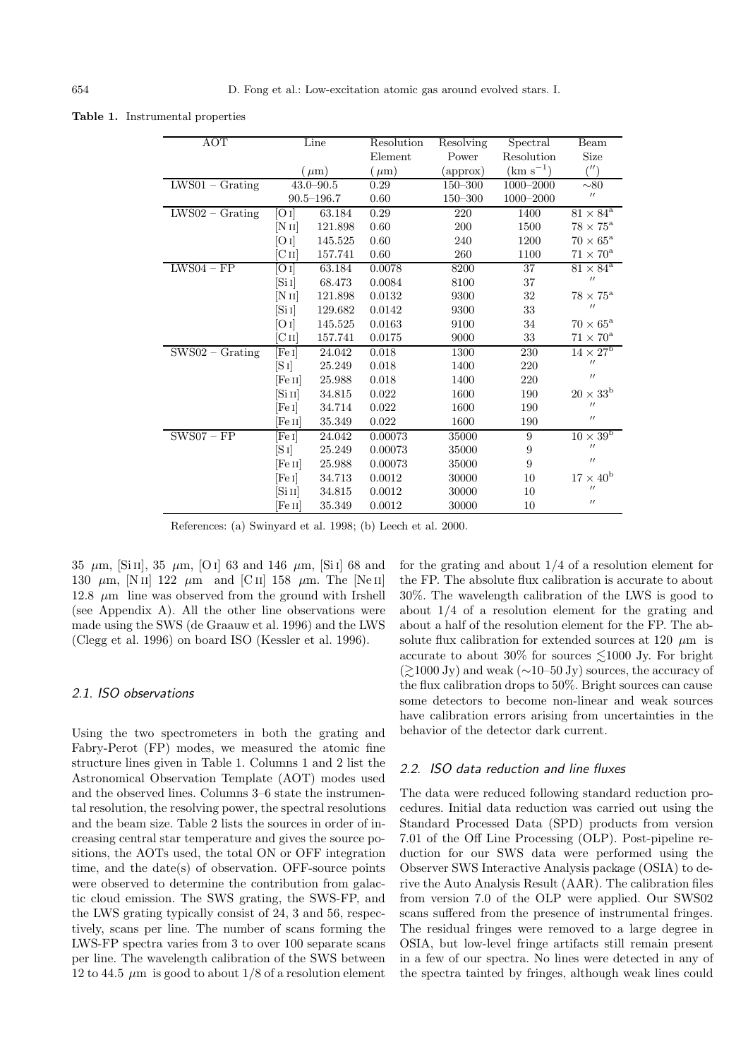**Table 1.** Instrumental properties

| <b>AOT</b>                                 |                     | Line           | Resolution | Resolving | Spectral         | Beam                                   |
|--------------------------------------------|---------------------|----------------|------------|-----------|------------------|----------------------------------------|
|                                            |                     |                | Element    | Power     | Resolution       | Size                                   |
|                                            |                     | $(\mu m)$      | $(\mu m)$  | (approx)  | $(km s^{-1})$    | $^{\prime\prime})$                     |
| $\overline{\text{LWS}}01 - \text{Grating}$ |                     | $43.0 - 90.5$  | 0.29       | 150-300   | 1000-2000        | $\sim 80$                              |
|                                            |                     | $90.5 - 196.7$ | 0.60       | 150-300   | 1000-2000        | $^{\prime\prime}$                      |
| $LWS02 - Grating$                          | $[O_I]$             | 63.184         | 0.29       | 220       | 1400             | $81 \times 84^{\rm a}$                 |
|                                            | [N <sub>II</sub> ]  | 121.898        | 0.60       | 200       | 1500             | $78\times75^{\rm a}$                   |
|                                            | [O I]               | 145.525        | 0.60       | 240       | 1200             | $70 \times 65^{\rm a}$                 |
|                                            | $\rm [C\,{\sc ii}]$ | 157.741        | 0.60       | 260       | 1100             | $71 \times 70^{\rm a}$                 |
| $LWS04 - FP$                               | [O I]               | 63.184         | 0.0078     | 8200      | 37               | $81 \times 84^{\rm a}$                 |
|                                            | [Si 1]              | 68.473         | 0.0084     | 8100      | 37               | $^{\prime\prime}$                      |
|                                            | [N <sub>II</sub> ]  | 121.898        | 0.0132     | 9300      | $32\,$           | $78 \times 75^{\rm a}$                 |
|                                            | [Si 1]              | 129.682        | 0.0142     | 9300      | 33               | $^{\prime\prime}$                      |
|                                            | [O I]               | 145.525        | 0.0163     | 9100      | 34               | $70\times 65^{\rm a}$                  |
|                                            | $\rm [C\,{\sc ii}]$ | 157.741        | 0.0175     | 9000      | 33               | $71 \times 70^{\rm a}$                 |
| $SWS02 - Grating$                          | [Fe I]              | 24.042         | 0.018      | 1300      | 230              | $14 \times 27^{\rm b}$                 |
|                                            | $[S_1]$             | 25.249         | 0.018      | 1400      | 220              | $^{\prime\prime}$                      |
|                                            | [Fe II]             | 25.988         | 0.018      | 1400      | 220              | $^{\prime\prime}$                      |
|                                            | [Si 11]             | 34.815         | 0.022      | 1600      | 190              | $20 \times 33^{\rm b}$                 |
|                                            | [Fe I]              | 34.714         | 0.022      | 1600      | 190              | $^{\prime\prime}$                      |
|                                            | [Fe II]             | 35.349         | 0.022      | 1600      | 190              | $^{\prime\prime}$                      |
| $SWS07 - FP$                               | [Fe I]              | 24.042         | 0.00073    | 35000     | 9                | $10 \times \overline{39^{\mathrm{b}}}$ |
|                                            | $[S_1]$             | 25.249         | 0.00073    | 35000     | $\overline{9}$   | $^{\prime\prime}$                      |
|                                            | [Fe II]             | 25.988         | 0.00073    | 35000     | $\boldsymbol{9}$ | $^{\prime\prime}$                      |
|                                            | [Fe ɪ]              | 34.713         | 0.0012     | 30000     | 10               | $17 \times 40^{\rm b}$                 |
|                                            | [Si II]             | 34.815         | 0.0012     | 30000     | 10               | $^{\prime\prime}$                      |
|                                            | Fe II               | 35.349         | 0.0012     | 30000     | 10               | $^{\prime\prime}$                      |

References: (a) Swinyard et al. 1998; (b) Leech et al. 2000.

35  $\mu$ m, [Si II], 35  $\mu$ m, [O I] 63 and 146  $\mu$ m, [Si I] 68 and 130  $\mu$ m, [N II] 122  $\mu$ m and [C II] 158  $\mu$ m. The [Ne II] 12.8  $\mu$ m line was observed from the ground with Irshell (see Appendix A). All the other line observations were made using the SWS (de Graauw et al. 1996) and the LWS (Clegg et al. 1996) on board ISO (Kessler et al. 1996).

## 2.1. ISO observations

Using the two spectrometers in both the grating and Fabry-Perot (FP) modes, we measured the atomic fine structure lines given in Table 1. Columns 1 and 2 list the Astronomical Observation Template (AOT) modes used and the observed lines. Columns 3–6 state the instrumental resolution, the resolving power, the spectral resolutions and the beam size. Table 2 lists the sources in order of increasing central star temperature and gives the source positions, the AOTs used, the total ON or OFF integration time, and the date(s) of observation. OFF-source points were observed to determine the contribution from galactic cloud emission. The SWS grating, the SWS-FP, and the LWS grating typically consist of 24, 3 and 56, respectively, scans per line. The number of scans forming the LWS-FP spectra varies from 3 to over 100 separate scans per line. The wavelength calibration of the SWS between 12 to 44.5  $\mu$ m is good to about 1/8 of a resolution element for the grating and about 1/4 of a resolution element for the FP. The absolute flux calibration is accurate to about 30%. The wavelength calibration of the LWS is good to about 1/4 of a resolution element for the grating and about a half of the resolution element for the FP. The absolute flux calibration for extended sources at 120  $\mu$ m is accurate to about 30% for sources  $\leq 1000$  Jy. For bright  $\gtrsim 1000 \text{ Jy}$  and weak (∼10–50 Jy) sources, the accuracy of the flux calibration drops to 50%. Bright sources can cause some detectors to become non-linear and weak sources have calibration errors arising from uncertainties in the behavior of the detector dark current.

#### 2.2. ISO data reduction and line fluxes

The data were reduced following standard reduction procedures. Initial data reduction was carried out using the Standard Processed Data (SPD) products from version 7.01 of the Off Line Processing (OLP). Post-pipeline reduction for our SWS data were performed using the Observer SWS Interactive Analysis package (OSIA) to derive the Auto Analysis Result (AAR). The calibration files from version 7.0 of the OLP were applied. Our SWS02 scans suffered from the presence of instrumental fringes. The residual fringes were removed to a large degree in OSIA, but low-level fringe artifacts still remain present in a few of our spectra. No lines were detected in any of the spectra tainted by fringes, although weak lines could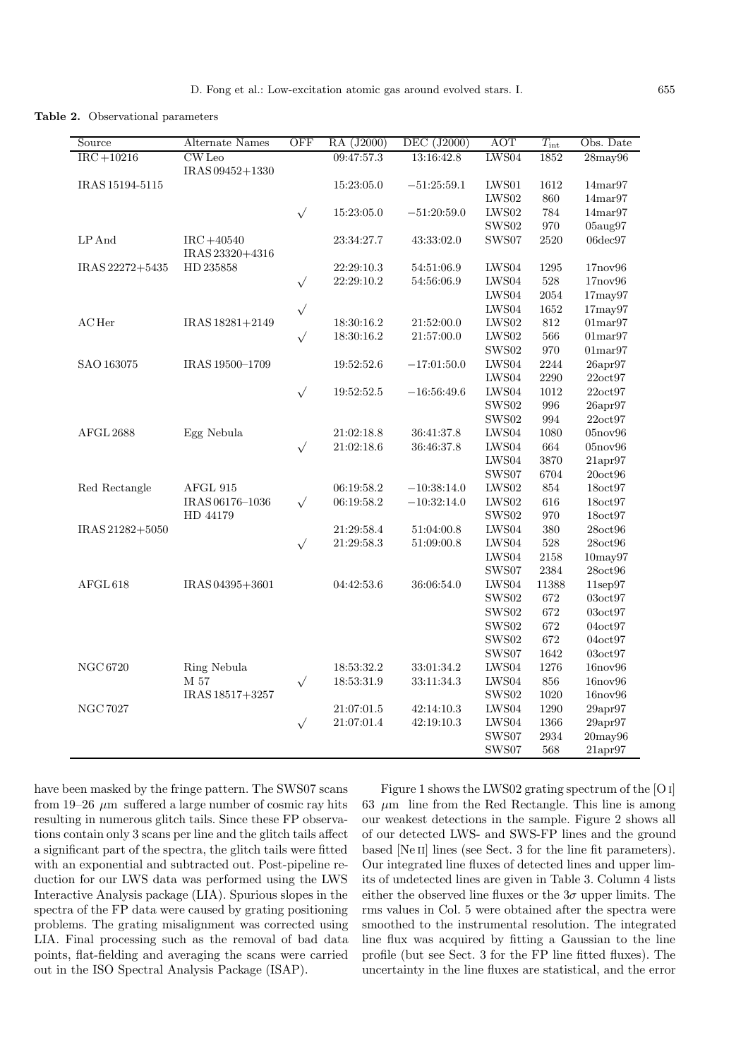**Table 2.** Observational parameters

| Source          | Alternate Names                  | OFF       | RA (J2000)                   | DEC (J2000)   | <b>AOT</b>                    | $T_{\rm int}$ | Obs. Date            |
|-----------------|----------------------------------|-----------|------------------------------|---------------|-------------------------------|---------------|----------------------|
| $IRC+10216$     | CW Leo<br>IRAS 09452+1330        |           | 09:47:57.3                   | 13:16:42.8    | LWS04                         | 1852          | $28$ may $96$        |
| IRAS 15194-5115 |                                  |           | 15:23:05.0                   | $-51:25:59.1$ | LWS01                         | 1612          | 14 <sub>mar</sub> 97 |
|                 |                                  |           |                              |               | ${\rm LWS02}$                 | 860           | 14 <sub>mar</sub> 97 |
|                 |                                  | $\sqrt{}$ | $15{:}23{:}05.0\,$           | $-51:20:59.0$ | LWS02                         | 784           | 14 <sub>mar</sub> 97 |
|                 |                                  |           |                              |               | $\mathop{\rm SWS02}\nolimits$ | 970           | 05aug97              |
| LP And          | $IRC + 40540$<br>IRAS 23320+4316 |           | 23:34:27.7                   | 43:33:02.0    | SWS07                         | $2520\,$      | $06$ dec $97$        |
| IRAS 22272+5435 | HD 235858                        |           | $22\!\!:\!\!29\!\!:\!\!10.3$ | 54:51:06.9    | LWS04                         | $1295\,$      | 17nov96              |
|                 |                                  | $\sqrt{}$ | 22:29:10.2                   | 54:56:06.9    | ${\rm LWS04}$                 | $528\,$       | 17nov96              |
|                 |                                  |           |                              |               | LWS04                         | $\,2054$      | $17$ may $97$        |
|                 |                                  | $\sqrt{}$ |                              |               | LWS04                         | $1652\,$      | $17$ may $97$        |
| $AC$ Her        | IRAS 18281+2149                  |           | 18:30:16.2                   | 21:52:00.0    | LWS02                         | $812\,$       | 01 <sub>mar</sub> 97 |
|                 |                                  | $\sqrt{}$ | 18:30:16.2                   | 21:57:00.0    | ${\rm LWS02}$                 | 566           | 01 <sub>mar</sub> 97 |
|                 |                                  |           |                              |               | SWS02                         | 970           | $01\text{mar}97$     |
| SAO 163075      | IRAS 19500-1709                  |           | 19:52:52.6                   | $-17:01:50.0$ | LWS04                         | 2244          | 26apr97              |
|                 |                                  |           |                              |               | ${\rm LWS04}$                 | 2290          | 22oct97              |
|                 |                                  | $\sqrt{}$ | 19:52:52.5                   | $-16:56:49.6$ | LWS04                         | $1012\,$      | 22oct97              |
|                 |                                  |           |                              |               | SWS02                         | 996           | $26$ apr $97$        |
|                 |                                  |           |                              |               | SWS02                         | 994           | 22oct97              |
| AFGL 2688       | Egg Nebula                       |           | 21:02:18.8                   | 36:41:37.8    | LWS04                         | 1080          | 05nov96              |
|                 |                                  | $\sqrt{}$ | 21:02:18.6                   | 36:46:37.8    | LWS04                         | 664           | 05nov96              |
|                 |                                  |           |                              |               | LWS04                         | 3870          | $21$ apr $97$        |
|                 |                                  |           |                              |               | SWS07                         | 6704          | $20$ oct $96$        |
| Red Rectangle   | AFGL 915                         |           | 06:19:58.2                   | $-10:38:14.0$ | ${\rm LWS02}$                 | $854\,$       | 18oct97              |
|                 | IRAS 06176-1036                  | $\sqrt{}$ | 06:19:58.2                   | $-10:32:14.0$ | LWS02                         | 616           | 18oct97              |
|                 | HD 44179                         |           |                              |               | $\mathop{\rm SWS02}\nolimits$ | 970           | 18oct97              |
| IRAS 21282+5050 |                                  |           | 21:29:58.4                   | 51:04:00.8    | LWS04                         | 380           | $28$ oct $96$        |
|                 |                                  | $\sqrt{}$ | $21\!\!:\!\!29\!\!:\!\!58.3$ | 51:09:00.8    | LWS04                         | 528           | $28$ oct $96$        |
|                 |                                  |           |                              |               | LWS04                         | 2158          | $10$ may $97$        |
|                 |                                  |           |                              |               | SWS07                         | 2384          | 28oct96              |
| AFGL 618        | IRAS 04395+3601                  |           | 04:42:53.6                   | 36:06:54.0    | LWS04                         | 11388         | $11$ sep $97$        |
|                 |                                  |           |                              |               | SWS02                         | $672\,$       | 03oct97              |
|                 |                                  |           |                              |               | SWS <sub>02</sub>             | 672           | 03oct97              |
|                 |                                  |           |                              |               | <b>SWS02</b>                  | 672           | 04oct97              |
|                 |                                  |           |                              |               | SWS <sub>02</sub>             | 672           | 04oct97              |
|                 |                                  |           |                              |               | SWS07                         | 1642          | 03oct97              |
| <b>NGC 6720</b> | Ring Nebula                      |           | 18:53:32.2                   | 33:01:34.2    | LWS <sub>04</sub>             | 1276          | 16nov96              |
|                 | M 57                             | $\sqrt{}$ | 18:53:31.9                   | 33:11:34.3    | LWS04                         | 856           | 16nov96              |
|                 | IRAS 18517+3257                  |           |                              |               | $\mathop{\rm SWS02}\nolimits$ | 1020          | 16nov96              |
| <b>NGC 7027</b> |                                  |           | 21:07:01.5                   | 42:14:10.3    | LWS04                         | 1290          | 29apr97              |
|                 |                                  | $\sqrt{}$ | 21:07:01.4                   | 42:19:10.3    | LWS <sub>04</sub>             | 1366          | 29apr97              |
|                 |                                  |           |                              |               | SWS07                         | 2934          | $20$ may $96$        |
|                 |                                  |           |                              |               | SWS07                         | 568           | $21$ apr $97$        |

have been masked by the fringe pattern. The SWS07 scans from 19–26  $\mu$ m suffered a large number of cosmic ray hits resulting in numerous glitch tails. Since these FP observations contain only 3 scans per line and the glitch tails affect a significant part of the spectra, the glitch tails were fitted with an exponential and subtracted out. Post-pipeline reduction for our LWS data was performed using the LWS Interactive Analysis package (LIA). Spurious slopes in the spectra of the FP data were caused by grating positioning problems. The grating misalignment was corrected using LIA. Final processing such as the removal of bad data points, flat-fielding and averaging the scans were carried out in the ISO Spectral Analysis Package (ISAP).

Figure 1 shows the LWS02 grating spectrum of the [O i] 63  $\mu$ m line from the Red Rectangle. This line is among our weakest detections in the sample. Figure 2 shows all of our detected LWS- and SWS-FP lines and the ground based [Ne II] lines (see Sect. 3 for the line fit parameters). Our integrated line fluxes of detected lines and upper limits of undetected lines are given in Table 3. Column 4 lists either the observed line fluxes or the  $3\sigma$  upper limits. The rms values in Col. 5 were obtained after the spectra were smoothed to the instrumental resolution. The integrated line flux was acquired by fitting a Gaussian to the line profile (but see Sect. 3 for the FP line fitted fluxes). The uncertainty in the line fluxes are statistical, and the error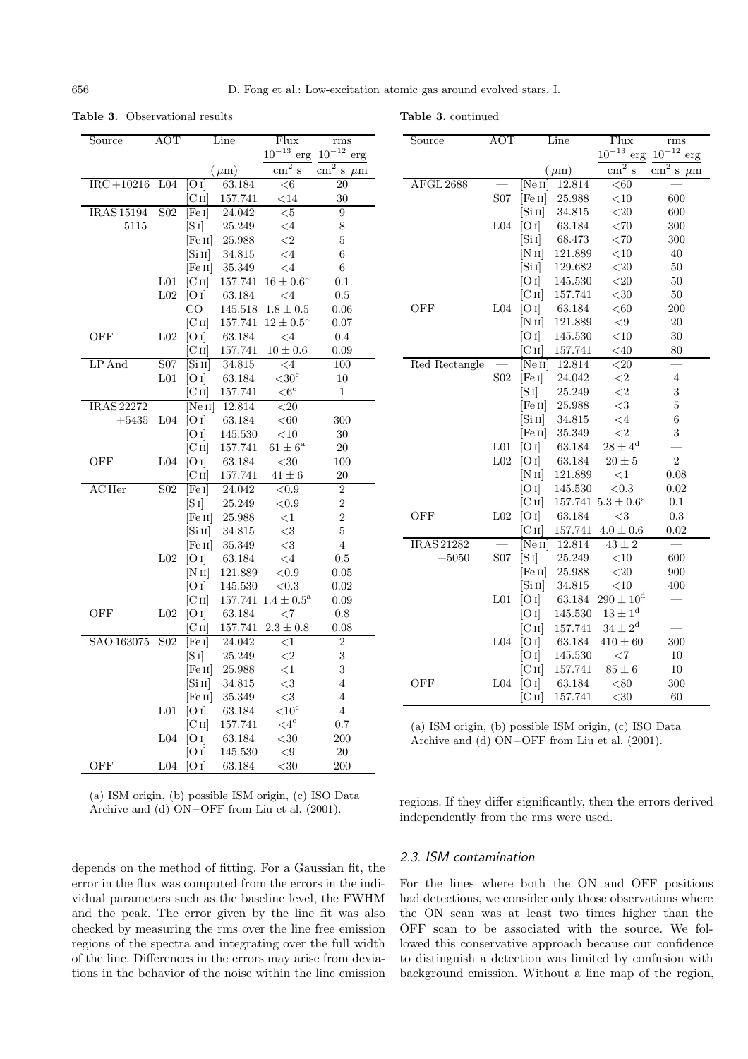**Table 3.** Observational results

**Table 3.** continued

| Source            | AOT              |                                    | Line      | Flux                               | rms                                      |
|-------------------|------------------|------------------------------------|-----------|------------------------------------|------------------------------------------|
|                   |                  |                                    |           | $10^{-13}\,$<br>erg                | $10^{\mathrm{-12}}$<br>erg               |
|                   |                  |                                    | $(\mu m)$ | $\overline{\text{cm}^2 \text{ s}}$ | $\text{cm}^2$<br>$\, {\bf S}$<br>$\mu$ m |
| $IRC+10216$       | L <sub>04</sub>  | O 1                                | 63.184    | <6                                 | <b>20</b>                                |
|                   |                  | [C <sub>II</sub> ]                 | 157.741   | $<$ 14                             | 30                                       |
| <b>IRAS 15194</b> | S <sub>0</sub> 2 | [Fe I]                             | 24.042    | $<$ 5                              | $\overline{9}$                           |
| $-5115$           |                  | $[S_1]$                            | 25.249    | $\leq$ 4                           | 8                                        |
|                   |                  | [Fe II]                            | 25.988    | $\leq$ 2                           | $\overline{5}$                           |
|                   |                  | [Sin]                              | 34.815    | $\leq$ 4                           | 6                                        |
|                   |                  | [Fe II]                            | 35.349    | $\leq 4$                           | 6                                        |
|                   | L <sub>01</sub>  | $\rm [C\,II]$                      | 157.741   | $16\pm0.6^{\rm a}$                 | 0.1                                      |
|                   | L <sub>02</sub>  | [O I]                              | 63.184    | $\leq 4$                           | 0.5                                      |
|                   |                  | CO.                                | 145.518   | $1.8 \pm 0.5$                      | 0.06                                     |
|                   |                  | [C <sub>II</sub> ]                 | 157.741   | $12\pm0.5^{\rm a}$                 | 0.07                                     |
| OFF               | L <sub>02</sub>  | [O I]                              | 63.184    | $\leq 4$                           | 0.4                                      |
|                   |                  | [C <sub>II</sub> ]                 | 157.741   | $10\pm0.6$                         | 0.09                                     |
| $LP$ And          | S <sub>0</sub> 7 | $\overline{S}$ i II $\overline{S}$ | 34.815    | $\leq$ 4                           | 100                                      |
|                   | L <sub>01</sub>  | [O I]                              | 63.184    | $<$ 30 $^{\circ}$                  | 10                                       |
|                   |                  | $\rm [C\,II]$                      | 157.741   | $<6^{\circ}$                       | 1                                        |
| IRAS 22272        |                  | [Ne II]                            | 12.814    | ${<}20$                            |                                          |
| $+5435$           | L <sub>04</sub>  | [O I]                              | 63.184    | $< \!\! 60$                        | 300                                      |
|                   |                  | [O I]                              | 145.530   | $<$ 10                             | 30                                       |
|                   |                  | [CII]                              | 157.741   | $61 \pm 6^{\rm a}$                 | $20\,$                                   |
| OFF               | L <sub>04</sub>  | [O I]                              | 63.184    | ${<}30\,$                          | 100                                      |
|                   |                  | [C II]                             | 157.741   | $41 \pm 6$                         | 20                                       |
| AC Her            | S <sub>02</sub>  | [Fe I]                             | 24.042    | ${<}0.9$                           | $\overline{2}$                           |
|                   |                  | $[S_1]$                            | 25.249    | ${<}0.9$                           | $\overline{2}$                           |
|                   |                  | [Fe II]                            | 25.988    | $<$ 1                              | $\overline{2}$                           |
|                   |                  | $\left[\mathrm{Si\,II}\right]$     | 34.815    | $<$ 3                              | $\overline{5}$                           |
|                   |                  | [Fe II]                            | 35.349    | $<$ 3                              | $\overline{4}$                           |
|                   | L <sub>02</sub>  | [O I]                              | 63.184    | $\leq 4$                           | 0.5                                      |
|                   |                  | [N II]                             | 121.889   | ${<}0.9$                           | 0.05                                     |
|                   |                  | [O I]                              | 145.530   | < 0.3                              | 0.02                                     |
|                   |                  | [C <sub>II</sub> ]                 | 157.741   | $1.4 \pm 0.5^{\rm a}$              | 0.09                                     |
| OFF               | L <sub>02</sub>  | [O I]                              | 63.184    | $<$ 7                              | 0.8                                      |
|                   |                  | $\overline{\text{C}}$ II]          | 157.741   | $2.3\pm0.8$                        | 0.08                                     |
| SAO 163075        | S <sub>02</sub>  | [Fe I]                             | 24.042    | $\overline{<}1$                    | $\overline{2}$                           |
|                   |                  | $[S_I]$                            | 25.249    | $\leq$ 2                           | 3                                        |
|                   |                  | [Fe II]                            | 25.988    | $<$ 1                              | 3                                        |
|                   |                  | [Si II]                            | 34.815    | $\leq$ 3                           | $\overline{4}$                           |
|                   |                  | [Fe II]                            | 35.349    | $<$ 3                              | $\overline{4}$                           |
|                   | L <sub>01</sub>  | [O I]                              | 63.184    | $<$ 10 $\rm ^{c}$                  | $\overline{4}$                           |
|                   |                  | $\rm [C\,II]$                      | 157.741   | $\leq 4^{\circ}$                   | 0.7                                      |
|                   | L <sub>04</sub>  | [O I]                              | 63.184    | $<$ 30                             | 200                                      |
|                   |                  | [O I]                              | 145.530   | $<$ 9                              | 20                                       |
| OFF               | L <sub>04</sub>  | O I                                | 63.184    | $30$                               | 200                                      |

| (a) ISM origin, (b) possible ISM origin, (c) ISO Data |  |
|-------------------------------------------------------|--|
| Archive and (d) $ON-OFF$ from Liu et al. (2001).      |  |

depends on the method of fitting. For a Gaussian fit, the error in the flux was computed from the errors in the individual parameters such as the baseline level, the FWHM and the peak. The error given by the line fit was also checked by measuring the rms over the line free emission regions of the spectra and integrating over the full width of the line. Differences in the errors may arise from deviations in the behavior of the noise within the line emission

| $_{\rm Source}$   | АОТ             |                    | Line        | Flux                    | rms                      |
|-------------------|-----------------|--------------------|-------------|-------------------------|--------------------------|
|                   |                 |                    |             | $10^{-13}$ erg          | $10^{-12}\,$<br>erg      |
|                   |                 |                    | $(\mu m)$   | $\text{cm}^2$<br>$\,$ S | $\rm cm^2~s$<br>$\mu$ m  |
| AFGL 2688         |                 | [Ne II]            | 12.814      | < 60                    |                          |
|                   | S <sub>07</sub> | [Fe II]            | 25.988      | $<\!10$                 | 600                      |
|                   |                 | [Sin]              | 34.815      | $<$ 20                  | 600                      |
|                   | ${\rm L}04$     | [O I]              | 63.184      | ${<}70$                 | 300                      |
|                   |                 | [Si]               | 68.473      | ${<}70$                 | 300                      |
|                   |                 | [N II]             | 121.889     | <10                     | 40                       |
|                   |                 | [Si]               | 129.682     | $< \! 20$               | 50                       |
|                   |                 | [O I]              | 145.530     | ${<}20\,$               | $50\,$                   |
|                   |                 | [C <sub>II</sub> ] | 157.741     | $<$ 30                  | $50\,$                   |
| OFF               | L04             | [O I]              | 63.184      | < 60                    | 200                      |
|                   |                 | [N <sub>II</sub> ] | 121.889     | ${<}9$                  | 20                       |
|                   |                 | [O I]              | 145.530     | $<$ 10                  | 30                       |
|                   |                 | [C <sub>II</sub> ] | 157.741     | $<$ 40                  | 80                       |
| Red Rectangle     |                 | [Ne II]            | 12.814      | $20$                    | $\overline{\phantom{a}}$ |
|                   | S <sub>02</sub> | [Fe I]             | 24.042      | $\leq$ 2                | 4                        |
|                   |                 | $[S_1]$            | 25.249      | ${<}2$                  | $\sqrt{3}$               |
|                   |                 | [Fe II]            | 25.988      | $<$ 3                   | $\overline{5}$           |
|                   |                 | [Sin]              | 34.815      | $<\!4$                  | $\,6$                    |
|                   |                 | [Fe II]            | 35.349      | $\leq$ 2                | 3                        |
|                   | L <sub>01</sub> | [O I]              | 63.184      | $28 \pm 4^{\rm d}$      |                          |
|                   | L <sub>02</sub> | [O I]              | 63.184      | $20\pm5$                | $\overline{2}$           |
|                   |                 | [N II]             | 121.889     | $\leq$ 1                | 0.08                     |
|                   |                 | [O I]              | $145.530\,$ | < 0.3                   | 0.02                     |
|                   |                 | [C <sub>II</sub> ] | 157.741     | $5.3\pm0.6^{\rm a}$     | 0.1                      |
| OFF               | L <sub>02</sub> | [O I]              | 63.184      | $<$ 3                   | 0.3                      |
|                   |                 | $\rm [C\,II]$      | 157.741     | $4.0\pm0.6$             | 0.02                     |
| <b>IRAS 21282</b> |                 | [Ne II]            | 12.814      | $43\pm2$                |                          |
| $+5050$           | S <sub>07</sub> | $[S_1]$            | 25.249      | <10                     | 600                      |
|                   |                 | [Fe II]            | 25.988      | ${<}20$                 | 900                      |
|                   |                 | [Sin]              | 34.815      | <10                     | 400                      |
|                   | ${\rm L}01$     | [O I]              | 63.184      | $290 \pm 10^{\rm d}$    |                          |
|                   |                 | [O I]              | 145.530     | $13 \pm 1^{\rm d}$      |                          |
|                   |                 | [C <sub>II</sub> ] | 157.741     | $34\pm2^{\rm d}$        |                          |
|                   | L <sub>04</sub> | [O I]              | 63.184      | $410 \pm 60$            | 300                      |
|                   |                 | [O I]              | 145.530     | ${<}7$                  | 10                       |
|                   |                 | $\rm [C\,II]$      | 157.741     | $85 \pm 6$              | 10                       |
| OFF               | L <sub>04</sub> | [O I]              | 63.184      | $< \! 80$               | 300                      |
|                   |                 | [Сп]               | 157.741     | $<$ 30                  | 60                       |

(a) ISM origin, (b) possible ISM origin, (c) ISO Data Archive and (d) ON−OFF from Liu et al. (2001).

regions. If they differ significantly, then the errors derived independently from the rms were used.

## 2.3. ISM contamination

For the lines where both the ON and OFF positions had detections, we consider only those observations where the ON scan was at least two times higher than the OFF scan to be associated with the source. We followed this conservative approach because our confidence to distinguish a detection was limited by confusion with background emission. Without a line map of the region,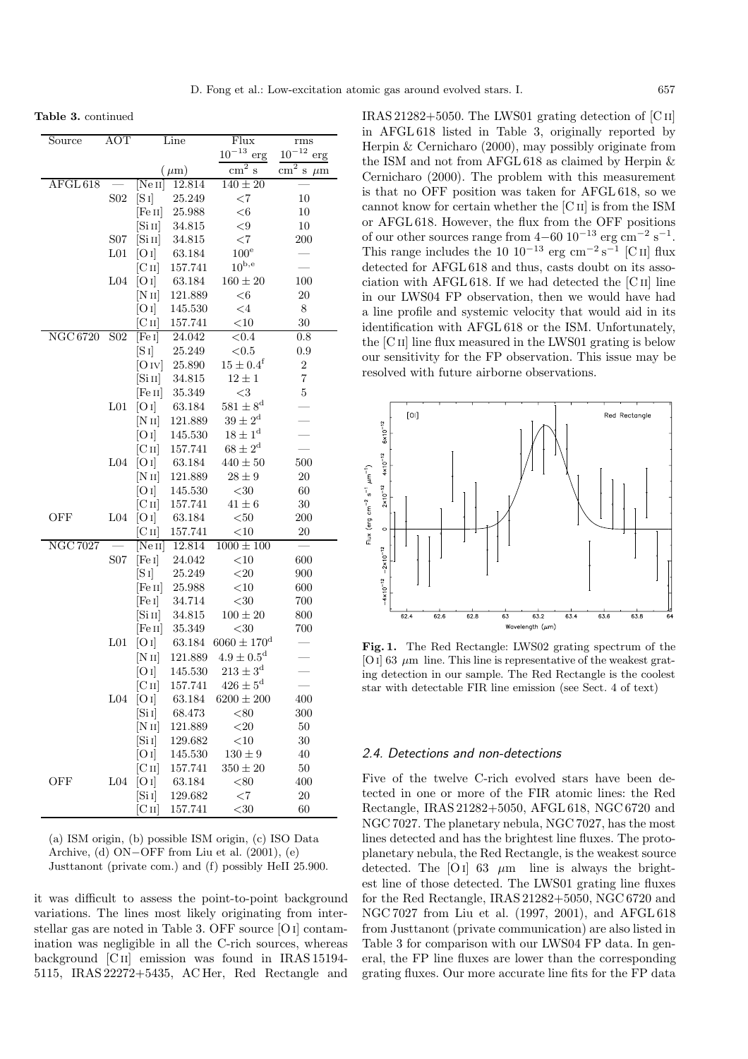**Table 3.** continued

| Source                        | AOT              |                                | Line      | Flux                     | $_{\rm rms}$                       |
|-------------------------------|------------------|--------------------------------|-----------|--------------------------|------------------------------------|
|                               |                  |                                |           | $10^{-13}$ erg           | $10^{-12}$<br>erg                  |
|                               |                  |                                | $(\mu m)$ | $\text{cm}^2$<br>$\,$ S  | $\text{cm}^2$<br>S<br>$\,\rm\mu m$ |
| $\overline{\text{AFGL}\,618}$ |                  | [Ne II]                        | 12.814    | $140 \pm 20$             |                                    |
|                               | S <sub>02</sub>  | $[S_1]$                        | 25.249    | ${<}7$                   | 10                                 |
|                               |                  | [Fe II]                        | 25.988    | $<\!6$                   | 10                                 |
|                               |                  | $\left[\mathrm{Si\,II}\right]$ | 34.815    | ${<}9$                   | 10                                 |
|                               | S <sub>07</sub>  | [Si II]                        | 34.815    | ${<}7$                   | 200                                |
|                               | L <sub>01</sub>  | [O I]                          | 63.184    | $100^{\circ}$            |                                    |
|                               |                  | $\rm [C\,II]$                  | 157.741   | $10^{\rm b,e}$           |                                    |
|                               | ${\rm L}04$      | [O I]                          | 63.184    | $160 \pm 20$             | 100                                |
|                               |                  | [NII]                          | 121.889   | $<$ 6                    | $20\,$                             |
|                               |                  | [O I]                          | 145.530   | $<\!4$                   | 8                                  |
|                               |                  | Cп                             | 157.741   | $<\!10$                  | 30                                 |
| NGC 6720                      | S <sub>0</sub> 2 | [Fe I]                         | 24.042    | ${<}0.4$                 | 0.8                                |
|                               |                  | $[S_1]$                        | 25.249    | $<\!\!0.5$               | 0.9                                |
|                               |                  | [O IV]                         | 25.890    | $15 \pm 0.4^{\rm f}$     | $\boldsymbol{2}$                   |
|                               |                  | [Si II]                        | 34.815    | $12 \pm 1$               | $\overline{7}$                     |
|                               |                  | [Fe II]                        | 35.349    | $<$ 3                    | $\bf 5$                            |
|                               | L <sub>01</sub>  | [O I]                          | 63.184    | $581 \pm 8^{\rm d}$      |                                    |
|                               |                  | [N II]                         | 121.889   | $39 \pm 2^{\rm d}$       |                                    |
|                               |                  | [O I]                          | 145.530   | $18 \pm 1^{\rm d}$       |                                    |
|                               |                  | $\rm [C\,II]$                  | 157.741   | $68 \pm 2^{\rm d}$       |                                    |
|                               | ${\rm L}04$      | [O I]                          | 63.184    | $440 \pm 50$             | 500                                |
|                               |                  | [N II]                         | 121.889   | $28\pm9$                 | $20\,$                             |
|                               |                  | [O I]                          | 145.530   | $<$ 30                   | 60                                 |
|                               |                  | $\rm [C\,II]$                  | 157.741   | $41\pm6$                 | $30\,$                             |
| <b>OFF</b>                    | L <sub>04</sub>  | [O I]                          | 63.184    | $50$                     | 200                                |
|                               |                  | $\rm [C\,II]$                  | 157.741   | $<$ 10                   | 20                                 |
| <b>NGC 7027</b>               |                  | [Ne II]                        | 12.814    | $1000 \pm 100$           |                                    |
|                               | S <sub>07</sub>  | [Fe I]                         | 24.042    | $<$ 10                   | 600                                |
|                               |                  | [S 1]                          | 25.249    | ${<}20$                  | 900                                |
|                               |                  | [Fe II]                        | 25.988    | <10                      | 600                                |
|                               |                  | [Fe I]                         | 34.714    | $< \negthinspace 30$     | 700                                |
|                               |                  | $\left[\mathrm{Si\,II}\right]$ | 34.815    | $100\pm20$               | 800                                |
|                               |                  | [Fe II]                        | 35.349    | ${<}30$                  | 700                                |
|                               | $\mbox{L}01$     | [O I]                          | 63.184    | $6060 \pm 170^{\rm d}$   |                                    |
|                               |                  | [N II]                         | 121.889   | $4.9 \pm 0.5^{\rm d}$    |                                    |
|                               |                  | [O I]                          | 145.530   | $213 \pm 3^{\rm d}$      |                                    |
|                               |                  | $\rm [C\,{\scriptstyle II}]$   | 157.741   | $426 \pm 5^{\mathrm{d}}$ |                                    |
|                               | ${\rm L}04$      | [O I]                          | 63.184    | $6200 \pm 200$           | 400                                |
|                               |                  | [Si]                           | 68.473    | ${<}80$                  | 300                                |
|                               |                  | [N II]                         | 121.889   | $20$                     | $50\,$                             |
|                               |                  | [Si]                           | 129.682   | $<\!10$                  | 30                                 |
|                               |                  | [O I]                          | 145.530   | $130\pm9$                | 40                                 |
|                               |                  | $\rm [C\,II]$                  | 157.741   | $350 \pm 20$             | 50                                 |
| OFF                           | L <sub>04</sub>  | [O I]                          | 63.184    | ${<}80$                  | 400                                |
|                               |                  | [Si]                           | 129.682   | ${<}7$                   | <b>20</b>                          |
|                               |                  | $\rm [C\,{\scriptstyle II}]$   | 157.741   | $<$ 30                   | 60                                 |

(a) ISM origin, (b) possible ISM origin, (c) ISO Data Archive, (d) ON−OFF from Liu et al. (2001), (e) Justtanont (private com.) and (f) possibly HeII 25.900.

it was difficult to assess the point-to-point background variations. The lines most likely originating from interstellar gas are noted in Table 3. OFF source [O i] contamination was negligible in all the C-rich sources, whereas background [C ii] emission was found in IRAS 15194- 5115, IRAS 22272+5435, AC Her, Red Rectangle and

IRAS 21282+5050. The LWS01 grating detection of [C ii] in AFGL 618 listed in Table 3, originally reported by Herpin & Cernicharo (2000), may possibly originate from the ISM and not from AFGL 618 as claimed by Herpin & Cernicharo (2000). The problem with this measurement is that no OFF position was taken for AFGL 618, so we cannot know for certain whether the [C ii] is from the ISM or AFGL 618. However, the flux from the OFF positions of our other sources range from 4–60  $10^{-13}$  erg  $\rm cm^{-2}~s^{-1}.$ This range includes the 10  $10^{-13}$  erg cm<sup>-2</sup> s<sup>-1</sup> [C ii] flux detected for AFGL 618 and thus, casts doubt on its association with AFGL 618. If we had detected the  $\overline{C}$  II] line in our LWS04 FP observation, then we would have had a line profile and systemic velocity that would aid in its identification with AFGL 618 or the ISM. Unfortunately, the [C<sub>II</sub>] line flux measured in the LWS01 grating is below our sensitivity for the FP observation. This issue may be resolved with future airborne observations.



**Fig. 1.** The Red Rectangle: LWS02 grating spectrum of the [O I] 63  $\mu$ m line. This line is representative of the weakest grating detection in our sample. The Red Rectangle is the coolest star with detectable FIR line emission (see Sect. 4 of text)

#### 2.4. Detections and non-detections

Five of the twelve C-rich evolved stars have been detected in one or more of the FIR atomic lines: the Red Rectangle, IRAS 21282+5050, AFGL 618, NGC 6720 and NGC 7027. The planetary nebula, NGC 7027, has the most lines detected and has the brightest line fluxes. The protoplanetary nebula, the Red Rectangle, is the weakest source detected. The [O i] 63  $\mu$ m line is always the brightest line of those detected. The LWS01 grating line fluxes for the Red Rectangle, IRAS 21282+5050, NGC 6720 and NGC 7027 from Liu et al. (1997, 2001), and AFGL 618 from Justtanont (private communication) are also listed in Table 3 for comparison with our LWS04 FP data. In general, the FP line fluxes are lower than the corresponding grating fluxes. Our more accurate line fits for the FP data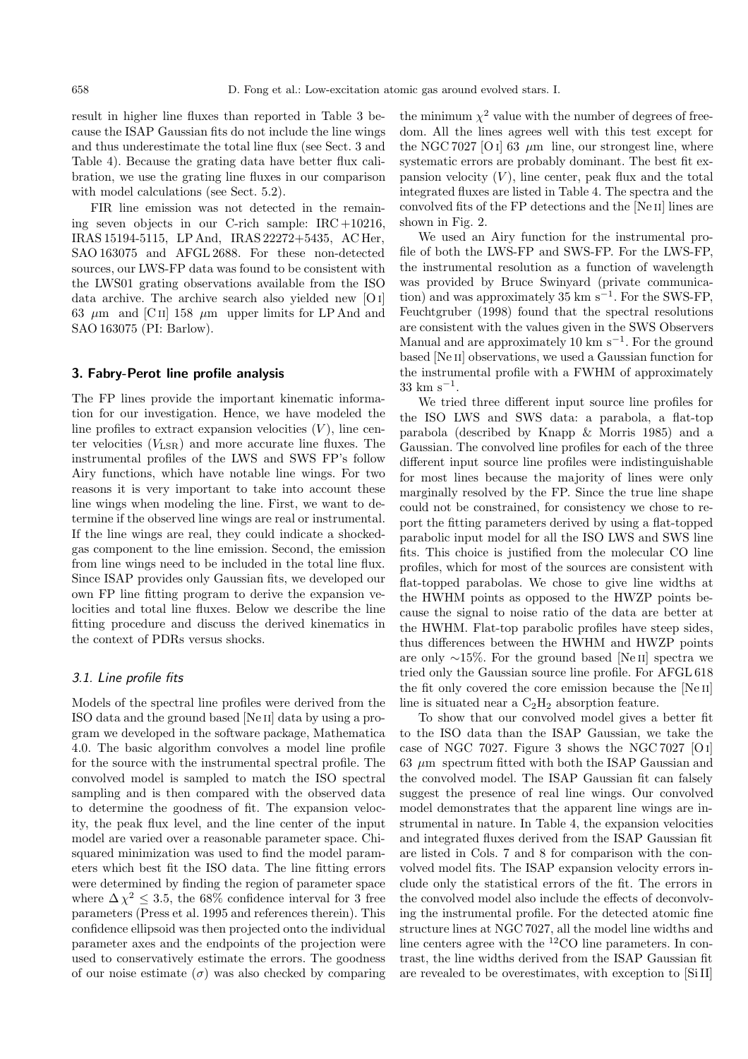result in higher line fluxes than reported in Table 3 because the ISAP Gaussian fits do not include the line wings and thus underestimate the total line flux (see Sect. 3 and Table 4). Because the grating data have better flux calibration, we use the grating line fluxes in our comparison with model calculations (see Sect. 5.2).

FIR line emission was not detected in the remaining seven objects in our C-rich sample: IRC +10216, IRAS 15194-5115, LP And, IRAS 22272+5435, AC Her, SAO 163075 and AFGL 2688. For these non-detected sources, our LWS-FP data was found to be consistent with the LWS01 grating observations available from the ISO data archive. The archive search also yielded new [O i] 63  $\mu$ m and [C<sub>II</sub>] 158  $\mu$ m upper limits for LP And and SAO 163075 (PI: Barlow).

#### **3. Fabry-Perot line profile analysis**

The FP lines provide the important kinematic information for our investigation. Hence, we have modeled the line profiles to extract expansion velocities  $(V)$ , line center velocities  $(V_{LSR})$  and more accurate line fluxes. The instrumental profiles of the LWS and SWS FP's follow Airy functions, which have notable line wings. For two reasons it is very important to take into account these line wings when modeling the line. First, we want to determine if the observed line wings are real or instrumental. If the line wings are real, they could indicate a shockedgas component to the line emission. Second, the emission from line wings need to be included in the total line flux. Since ISAP provides only Gaussian fits, we developed our own FP line fitting program to derive the expansion velocities and total line fluxes. Below we describe the line fitting procedure and discuss the derived kinematics in the context of PDRs versus shocks.

## 3.1. Line profile fits

Models of the spectral line profiles were derived from the ISO data and the ground based [Ne ii] data by using a program we developed in the software package, Mathematica 4.0. The basic algorithm convolves a model line profile for the source with the instrumental spectral profile. The convolved model is sampled to match the ISO spectral sampling and is then compared with the observed data to determine the goodness of fit. The expansion velocity, the peak flux level, and the line center of the input model are varied over a reasonable parameter space. Chisquared minimization was used to find the model parameters which best fit the ISO data. The line fitting errors were determined by finding the region of parameter space where  $\Delta \chi^2 \leq 3.5$ , the 68% confidence interval for 3 free parameters (Press et al. 1995 and references therein). This confidence ellipsoid was then projected onto the individual parameter axes and the endpoints of the projection were used to conservatively estimate the errors. The goodness of our noise estimate  $(\sigma)$  was also checked by comparing the minimum  $\chi^2$  value with the number of degrees of freedom. All the lines agrees well with this test except for the NGC 7027 [O I] 63  $\mu$ m line, our strongest line, where systematic errors are probably dominant. The best fit expansion velocity  $(V)$ , line center, peak flux and the total integrated fluxes are listed in Table 4. The spectra and the convolved fits of the FP detections and the [Ne ii] lines are shown in Fig. 2.

We used an Airy function for the instrumental profile of both the LWS-FP and SWS-FP. For the LWS-FP, the instrumental resolution as a function of wavelength was provided by Bruce Swinyard (private communication) and was approximately 35 km s<sup> $-1$ </sup>. For the SWS-FP, Feuchtgruber (1998) found that the spectral resolutions are consistent with the values given in the SWS Observers Manual and are approximately 10 km s<sup> $-1$ </sup>. For the ground based [Ne ii] observations, we used a Gaussian function for the instrumental profile with a FWHM of approximately 33 km s−<sup>1</sup>.

We tried three different input source line profiles for the ISO LWS and SWS data: a parabola, a flat-top parabola (described by Knapp & Morris 1985) and a Gaussian. The convolved line profiles for each of the three different input source line profiles were indistinguishable for most lines because the majority of lines were only marginally resolved by the FP. Since the true line shape could not be constrained, for consistency we chose to report the fitting parameters derived by using a flat-topped parabolic input model for all the ISO LWS and SWS line fits. This choice is justified from the molecular CO line profiles, which for most of the sources are consistent with flat-topped parabolas. We chose to give line widths at the HWHM points as opposed to the HWZP points because the signal to noise ratio of the data are better at the HWHM. Flat-top parabolic profiles have steep sides, thus differences between the HWHM and HWZP points are only <sup>∼</sup>15%. For the ground based [Ne ii] spectra we tried only the Gaussian source line profile. For AFGL 618 the fit only covered the core emission because the [Ne ii] line is situated near a  $C_2H_2$  absorption feature.

To show that our convolved model gives a better fit to the ISO data than the ISAP Gaussian, we take the case of NGC 7027. Figure 3 shows the NGC 7027 [Oi]  $63 \mu m$  spectrum fitted with both the ISAP Gaussian and the convolved model. The ISAP Gaussian fit can falsely suggest the presence of real line wings. Our convolved model demonstrates that the apparent line wings are instrumental in nature. In Table 4, the expansion velocities and integrated fluxes derived from the ISAP Gaussian fit are listed in Cols. 7 and 8 for comparison with the convolved model fits. The ISAP expansion velocity errors include only the statistical errors of the fit. The errors in the convolved model also include the effects of deconvolving the instrumental profile. For the detected atomic fine structure lines at NGC 7027, all the model line widths and line centers agree with the <sup>12</sup>CO line parameters. In contrast, the line widths derived from the ISAP Gaussian fit are revealed to be overestimates, with exception to [Si II]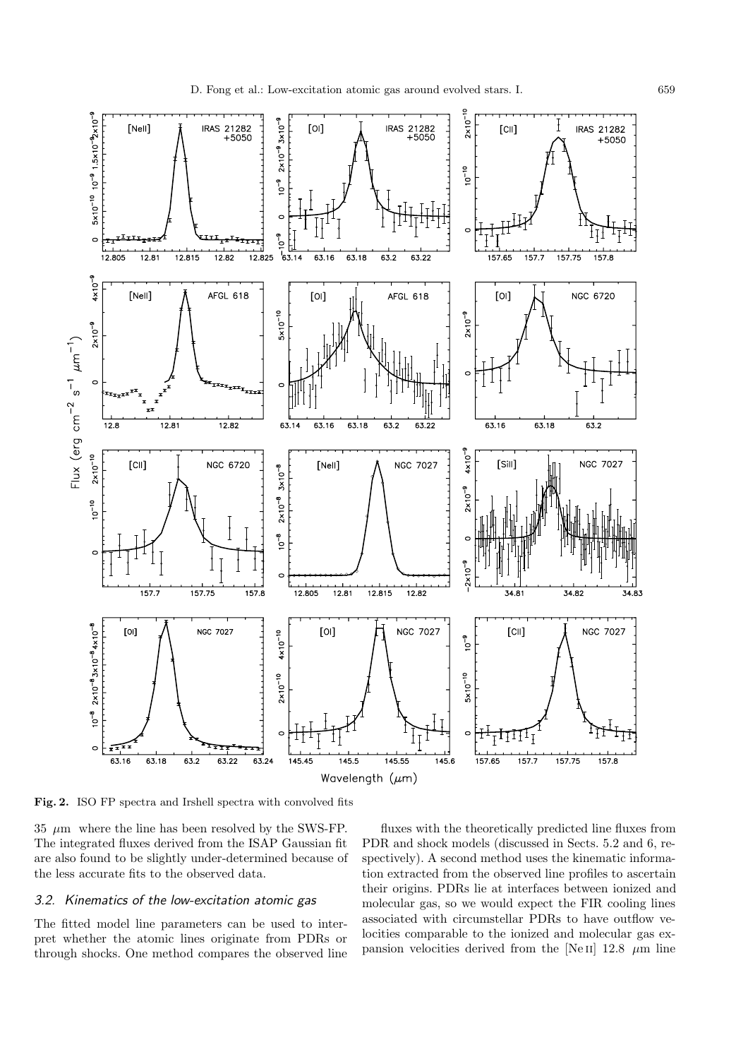

**Fig. 2.** ISO FP spectra and Irshell spectra with convolved fits

 $35 \mu m$  where the line has been resolved by the SWS-FP. The integrated fluxes derived from the ISAP Gaussian fit are also found to be slightly under-determined because of the less accurate fits to the observed data.

## 3.2. Kinematics of the low-excitation atomic gas

The fitted model line parameters can be used to interpret whether the atomic lines originate from PDRs or through shocks. One method compares the observed line

fluxes with the theoretically predicted line fluxes from PDR and shock models (discussed in Sects. 5.2 and 6, respectively). A second method uses the kinematic information extracted from the observed line profiles to ascertain their origins. PDRs lie at interfaces between ionized and molecular gas, so we would expect the FIR cooling lines associated with circumstellar PDRs to have outflow velocities comparable to the ionized and molecular gas expansion velocities derived from the [Ne II] 12.8  $\mu$ m line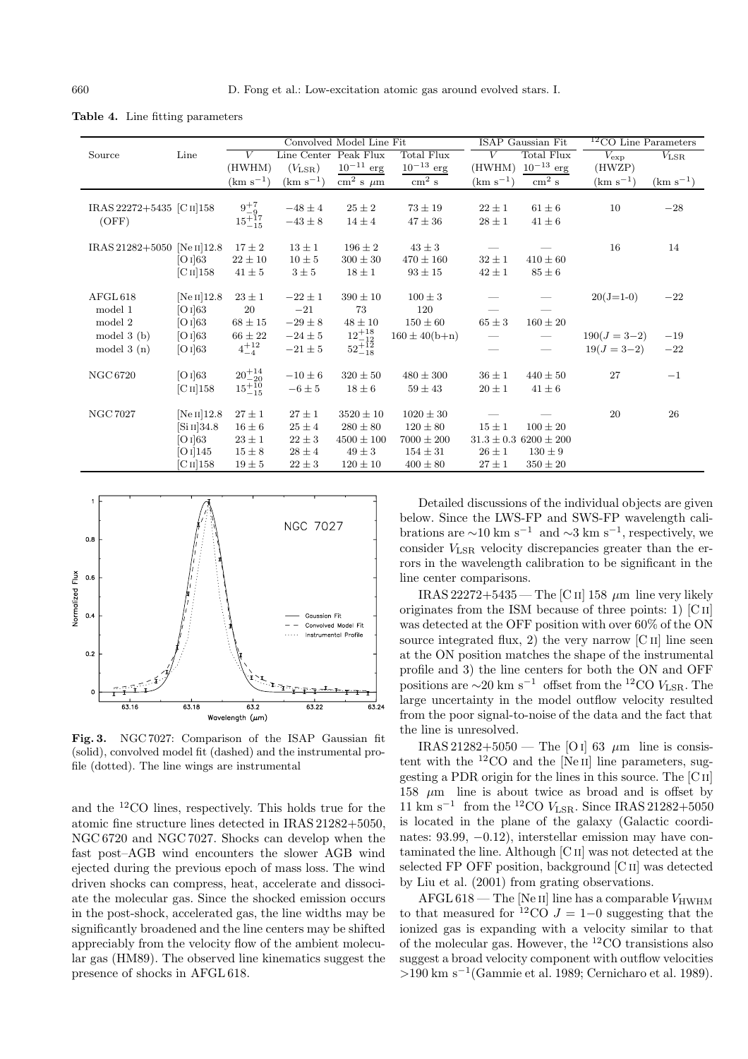|                                     |                                                         |                                                            |                                                    | Convolved Model Line Fit                                      |                                                                 |                          | ISAP Gaussian Fit                                            | $12$ CO Line Parameters         |                |
|-------------------------------------|---------------------------------------------------------|------------------------------------------------------------|----------------------------------------------------|---------------------------------------------------------------|-----------------------------------------------------------------|--------------------------|--------------------------------------------------------------|---------------------------------|----------------|
| Source                              | Line                                                    | V                                                          | Line Center                                        | Peak Flux                                                     | Total Flux                                                      | V                        | Total Flux                                                   | $V_{\rm exp}$                   | $V_{\rm LSR}$  |
|                                     |                                                         | (HWHM)                                                     | $(V_{\rm LSR})$                                    | $10^{-11}$ erg                                                | $10^{-13}$ erg                                                  | (HWHM)                   | $10^{-13}$ erg                                               | (HWZP)                          |                |
|                                     |                                                         | $(km s^{-1})$                                              | $(km s^{-1})$                                      | $\text{cm}^2 \text{ s } \mu \text{m}$                         | $\rm cm^2~s$                                                    | $\rm (km \ s^{-1})$      | $\rm cm^2~s$                                                 | $(km s^{-1})$                   | $(km s^{-1})$  |
| IRAS 22272+5435 [C II] 158<br>(OFF) |                                                         | $\begin{array}{c} 9^{+7}_{-9}\\15^{+17}_{-15} \end{array}$ | $-48 \pm 4$<br>$-43\pm8$                           | $25 \pm 2$<br>$14 \pm 4$                                      | $73\pm19$<br>$47 \pm 36$                                        | $22 \pm 1$<br>$28\pm1$   | $61 \pm 6$<br>$41 \pm 6$                                     | 10                              | $-28$          |
| IRAS 21282+5050 [Ne II] 12.8        | [O I] 63<br>$\rm [C\,II]158$                            | $17\pm2$<br>$22\pm10$<br>$41 \pm 5$                        | $13 \pm 1$<br>$10 \pm 5$<br>$3 \pm 5$              | $196 \pm 2$<br>$300 \pm 30$<br>$18 \pm 1$                     | $43 \pm 3$<br>$470 \pm 160$<br>$93 \pm 15$                      | $32 \pm 1$<br>$42 \pm 1$ | $410 \pm 60$<br>$85 \pm 6$                                   | 16                              | 14             |
| AFGL 618<br>model 1<br>model 2      | $[Ne II]$ 12.8<br>[O I] 63<br>[O I] 63                  | $23\pm1$<br>20<br>$68\pm15$                                | $-22 \pm 1$<br>$-21$<br>$-29 \pm 8$                | $390 \pm 10$<br>73<br>$48 \pm 10$                             | $100 \pm 3$<br>120<br>$150 \pm 60$                              | $65 \pm 3$               | $160\pm20$                                                   | $20(J=1-0)$                     | $-22$          |
| model $3(b)$<br>model $3(n)$        | [O I] 63<br>[O I] 63                                    | $66 \pm 22$<br>$4^{+12}_{-4}$                              | $-24 \pm 5$<br>$-21\pm5$                           | $\substack{12^{+18}_{-12} \\ 52^{+12}_{-18}}$                 | $160 \pm 40(b+n)$                                               | $\overline{\phantom{0}}$ |                                                              | $190(J = 3-2)$<br>$19(J = 3-2)$ | $-19$<br>$-22$ |
| NGC 6720                            | [O I] 63<br>$\rm [C\,II]158$                            | $\stackrel{20+14}{_{15}+10} \stackrel{+14}{_{15}+10}$      | $-10 \pm 6$<br>$-6 \pm 5$                          | $320 \pm 50$<br>$18 \pm 6$                                    | $480 \pm 300$<br>$59 \pm 43$                                    | $36 \pm 1$<br>$20 \pm 1$ | $440 \pm 50$<br>$41 \pm 6$                                   | 27                              | $-1$           |
| <b>NGC 7027</b>                     | $[Ne II]$ 12.8<br>[Si II] 34.8<br>[O I] 63<br>[O I] 145 | $27 \pm 1$<br>$16 \pm 6$<br>$23\pm1$<br>$15\pm8$           | $27 \pm 1$<br>$25 \pm 4$<br>$22 \pm 3$<br>$28\pm4$ | $3520 \pm 10$<br>$280 \pm 80$<br>$4500 \pm 100$<br>$49 \pm 3$ | $1020 \pm 30$<br>$120 \pm 80$<br>$7000 \pm 200$<br>$154 \pm 31$ | $15\pm1$<br>$26 \pm 1$   | $100 \pm 20$<br>$31.3 \pm 0.3$ 6200 $\pm$ 200<br>$130 \pm 9$ | 20                              | 26             |
|                                     | [C II] 158                                              | $19 \pm 5$                                                 | $22 \pm 3$                                         | $120 \pm 10$                                                  | $400 \pm 80$                                                    | $27 \pm 1$               | $350 \pm 20$                                                 |                                 |                |

**Table 4.** Line fitting parameters



**Fig. 3.** NGC 7027: Comparison of the ISAP Gaussian fit (solid), convolved model fit (dashed) and the instrumental profile (dotted). The line wings are instrumental

and the <sup>12</sup>CO lines, respectively. This holds true for the atomic fine structure lines detected in IRAS 21282+5050, NGC 6720 and NGC 7027. Shocks can develop when the fast post–AGB wind encounters the slower AGB wind ejected during the previous epoch of mass loss. The wind driven shocks can compress, heat, accelerate and dissociate the molecular gas. Since the shocked emission occurs in the post-shock, accelerated gas, the line widths may be significantly broadened and the line centers may be shifted appreciably from the velocity flow of the ambient molecular gas (HM89). The observed line kinematics suggest the presence of shocks in AFGL 618.

Detailed discussions of the individual objects are given below. Since the LWS-FP and SWS-FP wavelength calibrations are  $\sim$ 10 km s<sup>-1</sup> and  $\sim$ 3 km s<sup>-1</sup>, respectively, we consider VLSR velocity discrepancies greater than the errors in the wavelength calibration to be significant in the line center comparisons.

IRAS 22272+5435 — The [C II] 158  $\mu$ m line very likely originates from the ISM because of three points: 1)  $\lbrack \text{C{\scriptsize II}} \rbrack$ was detected at the OFF position with over 60% of the ON source integrated flux, 2) the very narrow  $\begin{bmatrix} C & I \end{bmatrix}$  line seen at the ON position matches the shape of the instrumental profile and 3) the line centers for both the ON and OFF positions are  $\sim$ 20 km s<sup>−1</sup> offset from the <sup>12</sup>CO V<sub>LSR</sub>. The large uncertainty in the model outflow velocity resulted from the poor signal-to-noise of the data and the fact that the line is unresolved.

IRAS 21282+5050 — The [O I] 63  $\mu$ m line is consistent with the  ${}^{12}$ CO and the [Ne II] line parameters, suggesting a PDR origin for the lines in this source. The [C ii] 158  $\mu$ m line is about twice as broad and is offset by  $11~{\rm km~s^{-1}}~$  from the  $^{12}{\rm CO}$   $V_{\rm LSR}.$  Since IRAS 21282+5050 is located in the plane of the galaxy (Galactic coordinates: 93.99, −0.12), interstellar emission may have contaminated the line. Although [C ii] was not detected at the selected FP OFF position, background [C ii] was detected by Liu et al. (2001) from grating observations.

 $AFGL 618$  – The [Ne II] line has a comparable  $V_{\text{HWHM}}$ to that measured for  $12\text{CO}$  J = 1–0 suggesting that the ionized gas is expanding with a velocity similar to that of the molecular gas. However, the <sup>12</sup>CO transistions also suggest a broad velocity component with outflow velocities >190 km s−<sup>1</sup>(Gammie et al. 1989; Cernicharo et al. 1989).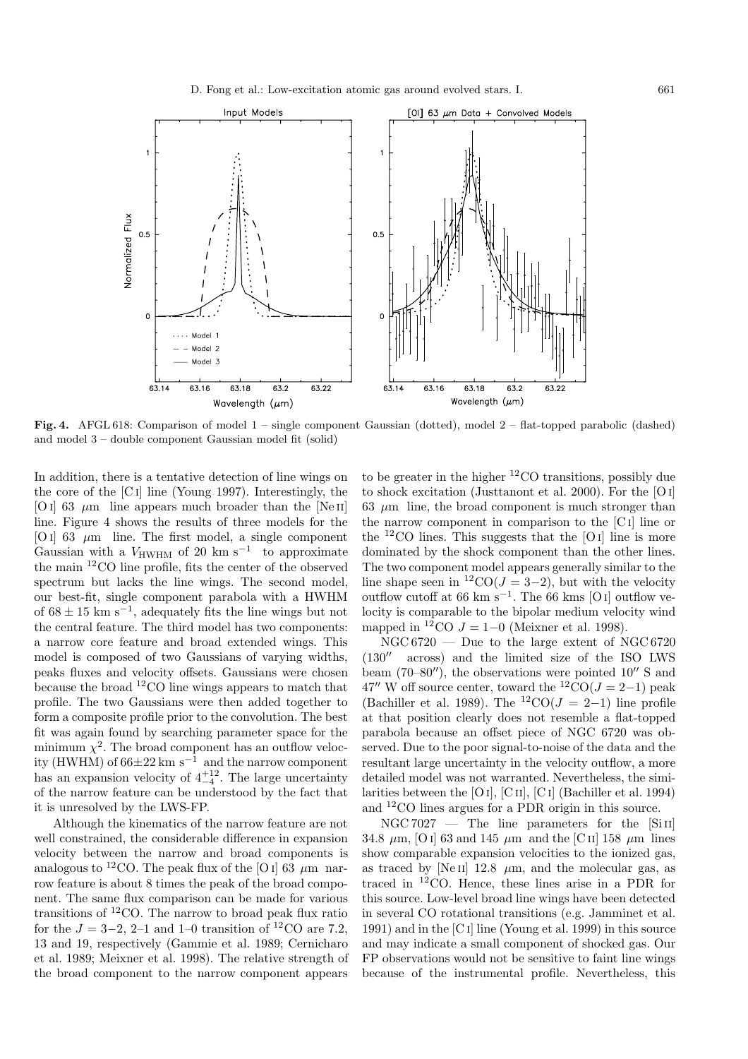

**Fig. 4.** AFGL 618: Comparison of model 1 – single component Gaussian (dotted), model 2 – flat-topped parabolic (dashed) and model 3 – double component Gaussian model fit (solid)

In addition, there is a tentative detection of line wings on the core of the [C i] line (Young 1997). Interestingly, the [O i] 63  $\mu$ m line appears much broader than the [Ne II] line. Figure 4 shows the results of three models for the [O I] 63  $\mu$ m line. The first model, a single component Gaussian with a  $V_{\text{HWHM}}$  of 20 km s<sup>-1</sup> to approximate the main <sup>12</sup>CO line profile, fits the center of the observed spectrum but lacks the line wings. The second model, our best-fit, single component parabola with a HWHM of  $68 \pm 15$  km s<sup>-1</sup>, adequately fits the line wings but not the central feature. The third model has two components: a narrow core feature and broad extended wings. This model is composed of two Gaussians of varying widths, peaks fluxes and velocity offsets. Gaussians were chosen because the broad <sup>12</sup>CO line wings appears to match that profile. The two Gaussians were then added together to form a composite profile prior to the convolution. The best fit was again found by searching parameter space for the minimum  $\chi^2$ . The broad component has an outflow velocity (HWHM) of  $66\pm22$  km s<sup>-1</sup> and the narrow component has an expansion velocity of  $4^{+12}_{-4}$ . The large uncertainty of the narrow feature can be understood by the fact that it is unresolved by the LWS-FP.

Although the kinematics of the narrow feature are not well constrained, the considerable difference in expansion velocity between the narrow and broad components is analogous to <sup>12</sup>CO. The peak flux of the [O i] 63  $\mu$ m narrow feature is about 8 times the peak of the broad component. The same flux comparison can be made for various transitions of  ${}^{12}$ CO. The narrow to broad peak flux ratio for the  $J = 3-2, 2-1$  and 1–0 transition of <sup>12</sup>CO are 7.2. 13 and 19, respectively (Gammie et al. 1989; Cernicharo et al. 1989; Meixner et al. 1998). The relative strength of the broad component to the narrow component appears

to be greater in the higher  ${}^{12}$ CO transitions, possibly due to shock excitation (Justtanont et al. 2000). For the [O i] 63  $\mu$ m line, the broad component is much stronger than the narrow component in comparison to the [C i] line or the  $12$ CO lines. This suggests that the [O I] line is more dominated by the shock component than the other lines. The two component model appears generally similar to the line shape seen in <sup>12</sup>CO( $J = 3-2$ ), but with the velocity outflow cutoff at 66 km s<sup>-1</sup>. The 66 kms [O i] outflow velocity is comparable to the bipolar medium velocity wind mapped in <sup>12</sup>CO  $J = 1-0$  (Meixner et al. 1998).

 $NGC 6720$  — Due to the large extent of NGC 6720  $(130<sup>''</sup>$  across) and the limited size of the ISO LWS beam (70–80"), the observations were pointed  $10''$  S and 47" W off source center, toward the  ${}^{12}CO(J=2-1)$  peak (Bachiller et al. 1989). The <sup>12</sup>CO( $J = 2-1$ ) line profile at that position clearly does not resemble a flat-topped parabola because an offset piece of NGC 6720 was observed. Due to the poor signal-to-noise of the data and the resultant large uncertainty in the velocity outflow, a more detailed model was not warranted. Nevertheless, the similarities between the [O i], [C ii], [C i] (Bachiller et al. 1994) and <sup>12</sup>CO lines argues for a PDR origin in this source.

 $NGC 7027$  — The line parameters for the  $[S<sub>i</sub>II]$ 34.8  $\mu$ m, [O I] 63 and 145  $\mu$ m and the [C II] 158  $\mu$ m lines show comparable expansion velocities to the ionized gas, as traced by [Ne II] 12.8  $\mu$ m, and the molecular gas, as traced in <sup>12</sup>CO. Hence, these lines arise in a PDR for this source. Low-level broad line wings have been detected in several CO rotational transitions (e.g. Jamminet et al. 1991) and in the [C i] line (Young et al. 1999) in this source and may indicate a small component of shocked gas. Our FP observations would not be sensitive to faint line wings because of the instrumental profile. Nevertheless, this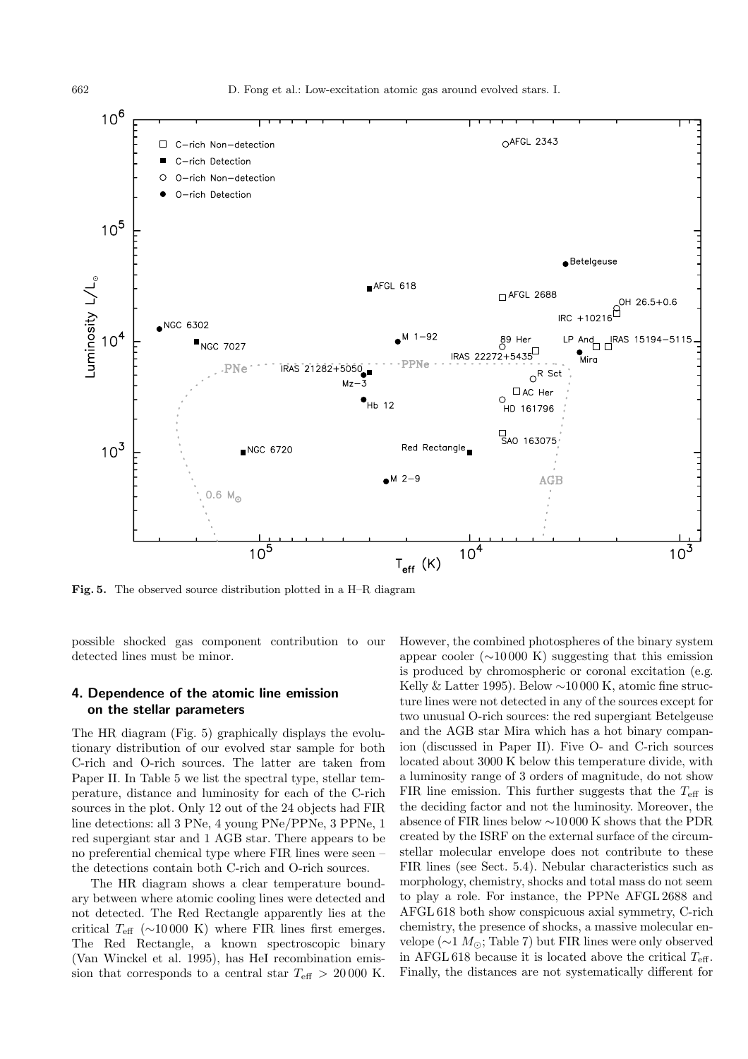

**Fig. 5.** The observed source distribution plotted in a H–R diagram

possible shocked gas component contribution to our detected lines must be minor.

## **4. Dependence of the atomic line emission on the stellar parameters**

The HR diagram (Fig. 5) graphically displays the evolutionary distribution of our evolved star sample for both C-rich and O-rich sources. The latter are taken from Paper II. In Table 5 we list the spectral type, stellar temperature, distance and luminosity for each of the C-rich sources in the plot. Only 12 out of the 24 objects had FIR line detections: all 3 PNe, 4 young PNe/PPNe, 3 PPNe, 1 red supergiant star and 1 AGB star. There appears to be no preferential chemical type where FIR lines were seen – the detections contain both C-rich and O-rich sources.

The HR diagram shows a clear temperature boundary between where atomic cooling lines were detected and not detected. The Red Rectangle apparently lies at the critical  $T_{\text{eff}}$  ( $\sim$ 10000 K) where FIR lines first emerges. The Red Rectangle, a known spectroscopic binary (Van Winckel et al. 1995), has HeI recombination emission that corresponds to a central star  $T_{\text{eff}} > 20\,000$  K.

However, the combined photospheres of the binary system appear cooler  $(\sim 10000 \text{ K})$  suggesting that this emission is produced by chromospheric or coronal excitation (e.g. Kelly & Latter 1995). Below ∼10 000 K, atomic fine structure lines were not detected in any of the sources except for two unusual O-rich sources: the red supergiant Betelgeuse and the AGB star Mira which has a hot binary companion (discussed in Paper II). Five O- and C-rich sources located about 3000 K below this temperature divide, with a luminosity range of 3 orders of magnitude, do not show FIR line emission. This further suggests that the  $T_{\text{eff}}$  is the deciding factor and not the luminosity. Moreover, the absence of FIR lines below ∼10 000 K shows that the PDR created by the ISRF on the external surface of the circumstellar molecular envelope does not contribute to these FIR lines (see Sect. 5.4). Nebular characteristics such as morphology, chemistry, shocks and total mass do not seem to play a role. For instance, the PPNe AFGL 2688 and AFGL 618 both show conspicuous axial symmetry, C-rich chemistry, the presence of shocks, a massive molecular envelope ( $\sim$ 1  $M_{\odot}$ ; Table 7) but FIR lines were only observed in AFGL 618 because it is located above the critical  $T_{\text{eff}}$ . Finally, the distances are not systematically different for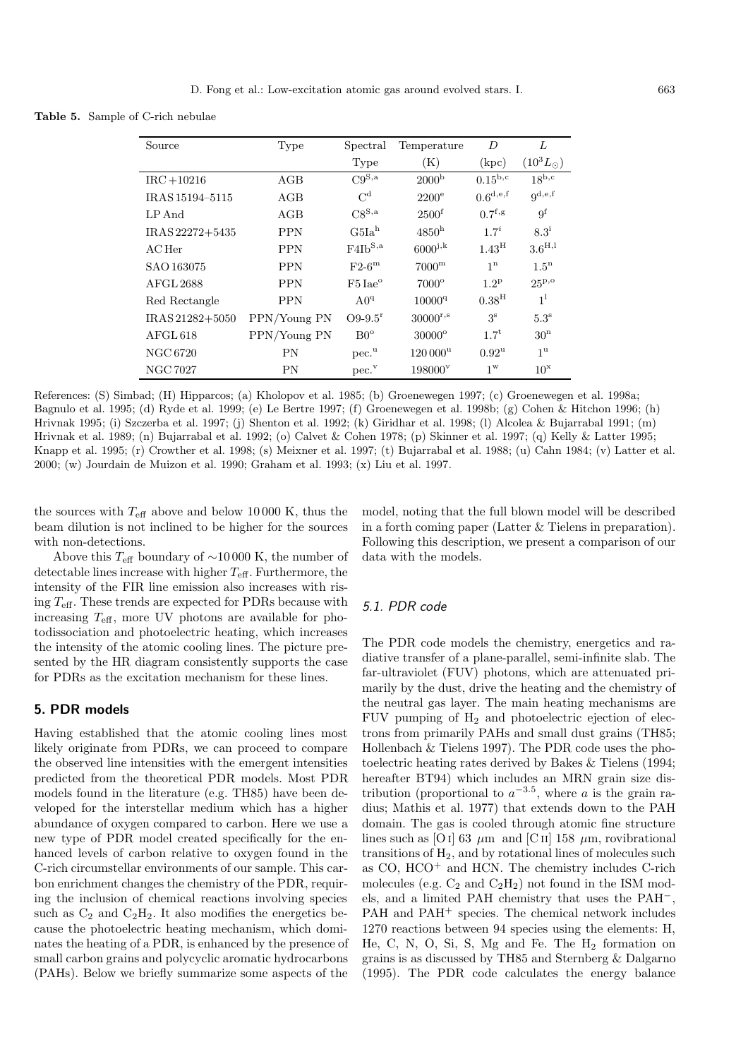**Table 5.** Sample of C-rich nebulae

| Source           | Type         | Spectral                   | Temperature          | D                     | L                              |
|------------------|--------------|----------------------------|----------------------|-----------------------|--------------------------------|
|                  |              | Type                       | (K)                  | (kpc)                 | $(10^3 L_{\odot})$             |
| $IRC + 10216$    | AGB          | $C9^{S,a}$                 | 2000 <sup>b</sup>    | $0.15^{\rm b,c}$      | $18^{\overline{\mathrm{b,c}}}$ |
| IRAS 15194-5115  | AGB          | $C^{\rm d}$                | $2200^{\circ}$       | $0.6^{d,e,f}$         | $q^{d,e,f}$                    |
| LP And           | AGB          | $\mathrm{C8}^\mathrm{S,a}$ | 2500 <sup>f</sup>    | $0.7$ <sup>f</sup> ,g | 9 <sup>f</sup>                 |
| IRAS 22272+5435  | <b>PPN</b>   | G5Ia <sup>h</sup>          | 4850 <sup>h</sup>    | $1.7^{i}$             | $8.3^{i}$                      |
| $AC$ Her         | <b>PPN</b>   | $F4Ib^{S,a}$               | $6000^{j,k}$         | $1.43^{\mathrm{H}}$   | $3.6^{\rm H,1}$                |
| SAO 163075       | <b>PPN</b>   | $F2-6m$                    | 7000 <sup>m</sup>    | 1 <sup>n</sup>        | $1.5^{\mathrm{n}}$             |
| <b>AFGL 2688</b> | <b>PPN</b>   | $F5$ Iae <sup>o</sup>      | $7000^\circ$         | $1.2^{\rm p}$         | 25P,0                          |
| Red Rectangle    | <b>PPN</b>   | $A0^q$                     | $10000^{q}$          | 0.38 <sup>H</sup>     | 1 <sup>1</sup>                 |
| IRAS 21282+5050  | PPN/Young PN | $O9 - 9.5$ <sup>r</sup>    | $30000^{r,s}$        | 3 <sup>s</sup>        | $5.3^{\rm s}$                  |
| AFGL 618         | PPN/Young PN | $B0^{\circ}$               | $30000$ <sup>o</sup> | $1.7^{t}$             | 30 <sup>n</sup>                |
| NGC 6720         | ΡN           | pec. <sup>u</sup>          | $120000^{\rm u}$     | $0.92^{\rm u}$        | 1 <sup>u</sup>                 |
| <b>NGC 7027</b>  | ΡN           | $pec.$ <sup>v</sup>        | 198000 <sup>v</sup>  | $1^{\mathrm{w}}$      | $10^x$                         |

References: (S) Simbad; (H) Hipparcos; (a) Kholopov et al. 1985; (b) Groenewegen 1997; (c) Groenewegen et al. 1998a; Bagnulo et al. 1995; (d) Ryde et al. 1999; (e) Le Bertre 1997; (f) Groenewegen et al. 1998b; (g) Cohen & Hitchon 1996; (h) Hrivnak 1995; (i) Szczerba et al. 1997; (j) Shenton et al. 1992; (k) Giridhar et al. 1998; (l) Alcolea & Bujarrabal 1991; (m) Hrivnak et al. 1989; (n) Bujarrabal et al. 1992; (o) Calvet & Cohen 1978; (p) Skinner et al. 1997; (q) Kelly & Latter 1995; Knapp et al. 1995; (r) Crowther et al. 1998; (s) Meixner et al. 1997; (t) Bujarrabal et al. 1988; (u) Cahn 1984; (v) Latter et al. 2000; (w) Jourdain de Muizon et al. 1990; Graham et al. 1993; (x) Liu et al. 1997.

the sources with  $T_{\text{eff}}$  above and below 10000 K, thus the beam dilution is not inclined to be higher for the sources with non-detections.

model, noting that the full blown model will be described in a forth coming paper (Latter & Tielens in preparation). Following this description, we present a comparison of our data with the models.

Above this  $T_{\text{eff}}$  boundary of ~10000 K, the number of detectable lines increase with higher  $T_{\text{eff}}$ . Furthermore, the intensity of the FIR line emission also increases with rising  $T_{\text{eff}}$ . These trends are expected for PDRs because with increasing  $T_{\text{eff}}$ , more UV photons are available for photodissociation and photoelectric heating, which increases the intensity of the atomic cooling lines. The picture presented by the HR diagram consistently supports the case for PDRs as the excitation mechanism for these lines.

## **5. PDR models**

Having established that the atomic cooling lines most likely originate from PDRs, we can proceed to compare the observed line intensities with the emergent intensities predicted from the theoretical PDR models. Most PDR models found in the literature (e.g. TH85) have been developed for the interstellar medium which has a higher abundance of oxygen compared to carbon. Here we use a new type of PDR model created specifically for the enhanced levels of carbon relative to oxygen found in the C-rich circumstellar environments of our sample. This carbon enrichment changes the chemistry of the PDR, requiring the inclusion of chemical reactions involving species such as  $C_2$  and  $C_2H_2$ . It also modifies the energetics because the photoelectric heating mechanism, which dominates the heating of a PDR, is enhanced by the presence of small carbon grains and polycyclic aromatic hydrocarbons (PAHs). Below we briefly summarize some aspects of the

## 5.1. PDR code

The PDR code models the chemistry, energetics and radiative transfer of a plane-parallel, semi-infinite slab. The far-ultraviolet (FUV) photons, which are attenuated primarily by the dust, drive the heating and the chemistry of the neutral gas layer. The main heating mechanisms are FUV pumping of  $H_2$  and photoelectric ejection of electrons from primarily PAHs and small dust grains (TH85; Hollenbach  $&$  Tielens 1997). The PDR code uses the photoelectric heating rates derived by Bakes & Tielens (1994; hereafter BT94) which includes an MRN grain size distribution (proportional to  $a^{-3.5}$ , where a is the grain radius; Mathis et al. 1977) that extends down to the PAH domain. The gas is cooled through atomic fine structure lines such as [O i] 63  $\mu$ m and [C ii] 158  $\mu$ m, rovibrational transitions of  $H_2$ , and by rotational lines of molecules such as  $CO$ ,  $HCO<sup>+</sup>$  and  $HCN$ . The chemistry includes C-rich molecules (e.g.  $C_2$  and  $C_2H_2$ ) not found in the ISM models, and a limited PAH chemistry that uses the PAH−, PAH and PAH<sup>+</sup> species. The chemical network includes 1270 reactions between 94 species using the elements: H, He, C, N, O, Si, S, Mg and Fe. The  $H_2$  formation on grains is as discussed by TH85 and Sternberg & Dalgarno (1995). The PDR code calculates the energy balance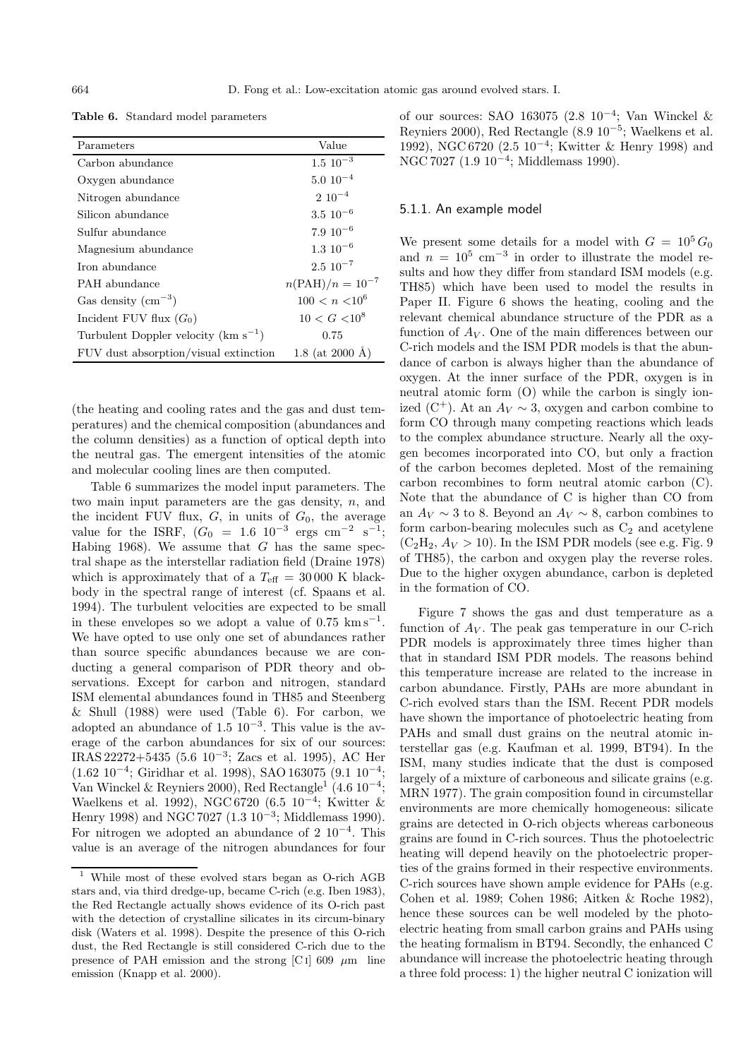**Table 6.** Standard model parameters

| Parameters                                      | Value                       |
|-------------------------------------------------|-----------------------------|
| Carbon abundance                                | $1.5 \, 10^{-3}$            |
| Oxygen abundance                                | $5.0 10^{-4}$               |
| Nitrogen abundance                              | $2 \ 10^{-4}$               |
| Silicon abundance                               | $3.5\ 10^{-6}$              |
| Sulfur abundance                                | $7.9 10^{-6}$               |
| Magnesium abundance                             | $1.3 \; 10^{-6}$            |
| Iron abundance                                  | $2.5 \times 10^{-7}$        |
| PAH abundance                                   | $n(\text{PAH})/n = 10^{-7}$ |
| Gas density $\rm (cm^{-3})$                     | $100 < n < 10^6$            |
| Incident FUV flux $(G_0)$                       | $10 < G < 10^8$             |
| Turbulent Doppler velocity ( $\rm km\;s^{-1}$ ) | 0.75                        |
| FUV dust absorption/visual extinction           | 1.8 (at 2000 Å)             |

(the heating and cooling rates and the gas and dust temperatures) and the chemical composition (abundances and the column densities) as a function of optical depth into the neutral gas. The emergent intensities of the atomic and molecular cooling lines are then computed.

Table 6 summarizes the model input parameters. The two main input parameters are the gas density,  $n$ , and the incident FUV flux,  $G$ , in units of  $G_0$ , the average value for the ISRF,  $(G_0 = 1.6 \ 10^{-3} \ \text{ergs} \ \text{cm}^{-2} \ \text{s}^{-1};$ Habing 1968). We assume that G has the same spectral shape as the interstellar radiation field (Draine 1978) which is approximately that of a  $T_{\text{eff}} = 30000 \text{ K}$  blackbody in the spectral range of interest (cf. Spaans et al. 1994). The turbulent velocities are expected to be small in these envelopes so we adopt a value of  $0.75 \text{ km s}^{-1}$ . We have opted to use only one set of abundances rather than source specific abundances because we are conducting a general comparison of PDR theory and observations. Except for carbon and nitrogen, standard ISM elemental abundances found in TH85 and Steenberg & Shull (1988) were used (Table 6). For carbon, we adopted an abundance of  $1.5$  10<sup>-3</sup>. This value is the average of the carbon abundances for six of our sources: IRAS 22272+5435 (5.6 10−<sup>3</sup>; Zacs et al. 1995), AC Her  $(1.62 \ 10^{-4})$ ; Giridhar et al. 1998), SAO 163075  $(9.1 \ 10^{-4})$ ; Van Winckel & Reyniers 2000), Red Rectangle<sup>1</sup> (4.6 10<sup>-4</sup>; Waelkens et al. 1992), NGC 6720 (6.5 10<sup>-4</sup>; Kwitter & Henry 1998) and NGC 7027 (1.3 10−<sup>3</sup>; Middlemass 1990). For nitrogen we adopted an abundance of 2  $10^{-4}$ . This value is an average of the nitrogen abundances for four

of our sources: SAO 163075 (2.8 10−<sup>4</sup>; Van Winckel & Reyniers 2000), Red Rectangle (8.9 10−<sup>5</sup>; Waelkens et al. 1992), NGC 6720 (2.5 10−<sup>4</sup>; Kwitter & Henry 1998) and NGC 7027 (1.9 10<sup>-4</sup>; Middlemass 1990).

#### 5.1.1. An example model

We present some details for a model with  $G = 10^5 G_0$ and  $n = 10^5$  cm<sup>-3</sup> in order to illustrate the model results and how they differ from standard ISM models (e.g. TH85) which have been used to model the results in Paper II. Figure 6 shows the heating, cooling and the relevant chemical abundance structure of the PDR as a function of  $A_V$ . One of the main differences between our C-rich models and the ISM PDR models is that the abundance of carbon is always higher than the abundance of oxygen. At the inner surface of the PDR, oxygen is in neutral atomic form (O) while the carbon is singly ionized (C<sup>+</sup>). At an  $A_V \sim 3$ , oxygen and carbon combine to form CO through many competing reactions which leads to the complex abundance structure. Nearly all the oxygen becomes incorporated into CO, but only a fraction of the carbon becomes depleted. Most of the remaining carbon recombines to form neutral atomic carbon (C). Note that the abundance of C is higher than CO from an  $A_V \sim 3$  to 8. Beyond an  $A_V \sim 8$ , carbon combines to form carbon-bearing molecules such as  $C_2$  and acetylene  $(C_2H_2, A_V > 10)$ . In the ISM PDR models (see e.g. Fig. 9) of TH85), the carbon and oxygen play the reverse roles. Due to the higher oxygen abundance, carbon is depleted in the formation of CO.

Figure 7 shows the gas and dust temperature as a function of  $A_V$ . The peak gas temperature in our C-rich PDR models is approximately three times higher than that in standard ISM PDR models. The reasons behind this temperature increase are related to the increase in carbon abundance. Firstly, PAHs are more abundant in C-rich evolved stars than the ISM. Recent PDR models have shown the importance of photoelectric heating from PAHs and small dust grains on the neutral atomic interstellar gas (e.g. Kaufman et al. 1999, BT94). In the ISM, many studies indicate that the dust is composed largely of a mixture of carboneous and silicate grains (e.g. MRN 1977). The grain composition found in circumstellar environments are more chemically homogeneous: silicate grains are detected in O-rich objects whereas carboneous grains are found in C-rich sources. Thus the photoelectric heating will depend heavily on the photoelectric properties of the grains formed in their respective environments. C-rich sources have shown ample evidence for PAHs (e.g. Cohen et al. 1989; Cohen 1986; Aitken & Roche 1982), hence these sources can be well modeled by the photoelectric heating from small carbon grains and PAHs using the heating formalism in BT94. Secondly, the enhanced C abundance will increase the photoelectric heating through a three fold process: 1) the higher neutral C ionization will

<sup>1</sup> While most of these evolved stars began as O-rich AGB stars and, via third dredge-up, became C-rich (e.g. Iben 1983), the Red Rectangle actually shows evidence of its O-rich past with the detection of crystalline silicates in its circum-binary disk (Waters et al. 1998). Despite the presence of this O-rich dust, the Red Rectangle is still considered C-rich due to the presence of PAH emission and the strong [C i] 609  $\mu$ m line emission (Knapp et al. 2000).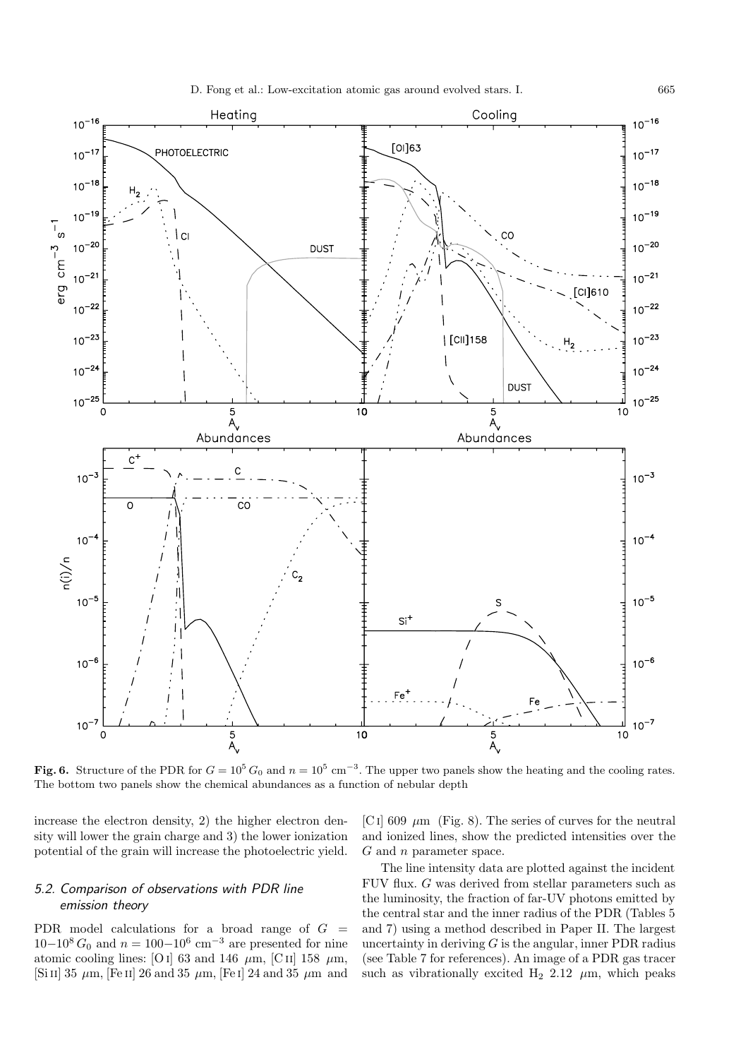

**Fig. 6.** Structure of the PDR for  $G = 10^5 G_0$  and  $n = 10^5$  cm<sup>-3</sup>. The upper two panels show the heating and the cooling rates. The bottom two panels show the chemical abundances as a function of nebular depth

increase the electron density, 2) the higher electron density will lower the grain charge and 3) the lower ionization potential of the grain will increase the photoelectric yield.

## 5.2. Comparison of observations with PDR line emission theory

PDR model calculations for a broad range of  $G =$  $10-10^{8} G_0$  and  $n = 100-10^{6}$  cm<sup>-3</sup> are presented for nine atomic cooling lines: [O i] 63 and 146  $\,\mu$ m, [C ii] 158  $\,\mu$ m, [Si II] 35  $\mu$ m, [Fe II] 26 and 35  $\mu$ m, [Fe I] 24 and 35  $\mu$ m and [C i] 609  $\mu$ m (Fig. 8). The series of curves for the neutral and ionized lines, show the predicted intensities over the  $G$  and  $n$  parameter space.

The line intensity data are plotted against the incident FUV flux. G was derived from stellar parameters such as the luminosity, the fraction of far-UV photons emitted by the central star and the inner radius of the PDR (Tables 5 and 7) using a method described in Paper II. The largest uncertainty in deriving  $G$  is the angular, inner PDR radius (see Table 7 for references). An image of a PDR gas tracer such as vibrationally excited H<sub>2</sub> 2.12  $\mu$ m, which peaks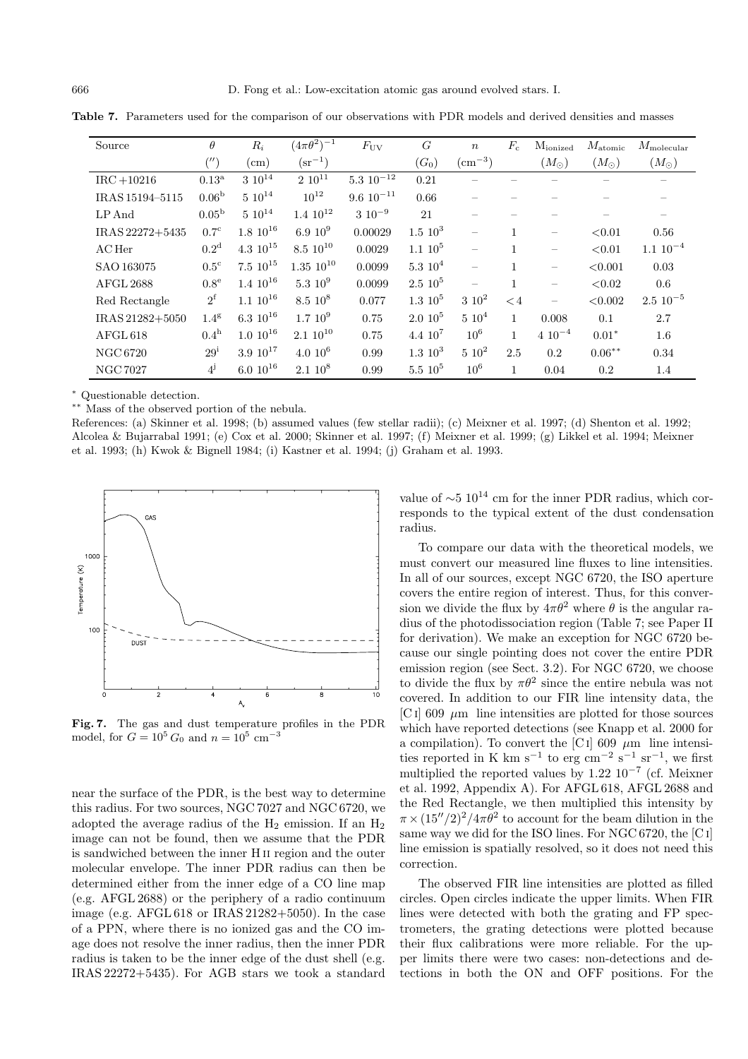| Source           | $\theta$            | $R_i$            | $(4\pi\theta^2)^{-1}$ | $F_{\rm UV}$      | G           | $\boldsymbol{n}$         | $F_c$        | $M_{\rm ionized}$        | $M_{atomic}$  | $M_{\rm molecular}$ |
|------------------|---------------------|------------------|-----------------------|-------------------|-------------|--------------------------|--------------|--------------------------|---------------|---------------------|
|                  | $(^{\prime\prime})$ | $\rm (cm)$       | $(\text{sr}^{-1})$    |                   | $(G_0)$     | $\rm (cm^{-3})$          |              | $(M_{\odot})$            | $(M_{\odot})$ | $(M_\odot)$         |
| $IRC + 10216$    | $0.13^{\mathrm{a}}$ | $3 10^{14}$      | $2 10^{11}$           | $5.3 \; 10^{-12}$ | 0.21        |                          |              |                          |               |                     |
| IRAS 15194-5115  | 0.06 <sup>b</sup>   | $5\ 10^{14}$     | $10^{12}$             | $9.6~10^{-11}$    | 0.66        |                          |              |                          |               |                     |
| $LP$ And         | $0.05^{\rm b}$      | $5 10^{14}$      | $1.4 \; 10^{12}$      | $3\ 10^{-9}$      | 21          |                          |              |                          |               |                     |
| IRAS 22272+5435  | 0.7 <sup>c</sup>    | $1.8\;10^{16}$   | $6.9~10^{9}$          | 0.00029           | $1.5\;10^3$ | $\overline{\phantom{m}}$ |              | $\overline{\phantom{0}}$ | < 0.01        | 0.56                |
| $AC$ Her         | 0.2 <sup>d</sup>    | $4.3 \; 10^{15}$ | $8.5\ 10^{10}$        | 0.0029            | $1.1~10^5$  | $\overline{\phantom{0}}$ | 1            | $\overline{\phantom{0}}$ | < 0.01        | $1.1 \ 10^{-4}$     |
| SAO 163075       | $0.5^{\circ}$       | $7.5 \, 10^{15}$ | $1.35\;10^{10}$       | 0.0099            | $5.310^4$   | $\overline{\phantom{m}}$ | $\mathbf{1}$ | —                        | < 0.001       | 0.03                |
| <b>AFGL 2688</b> | $0.8^{\mathrm{e}}$  | $1.4 \; 10^{16}$ | $5.3~10^9$            | 0.0099            | $2.5\;10^5$ |                          | $\mathbf{1}$ | $\overline{\phantom{0}}$ | < 0.02        | 0.6                 |
| Red Rectangle    | $2^{\rm f}$         | $1.1 \; 10^{16}$ | $8.5~10^8$            | 0.077             | $1.3~10^5$  | $3\;10^2$                | $\lt 4$      | $\overline{\phantom{0}}$ | < 0.002       | $2.5\ 10^{-5}$      |
| IRAS 21282+5050  | 1.4 <sup>g</sup>    | $6.3\ 10^{16}$   | 1.710 <sup>9</sup>    | 0.75              | $2.010^5$   | $5\;10^4$                | 1            | 0.008                    | 0.1           | 2.7                 |
| AFGL 618         | 0.4 <sup>h</sup>    | $1.0\ 10^{16}$   | $2.1~10^{10}$         | 0.75              | $4.4~10^7$  | 10 <sup>6</sup>          | 1            | $4 \; 10^{-4}$           | $0.01*$       | $1.6\,$             |
| NGC 6720         | $29^{\rm i}$        | $3.9 10^{17}$    | $4.010^6$             | 0.99              | $1.3\;10^3$ | $5\;10^2$                | 2.5          | 0.2                      | $0.06***$     | 0.34                |
| <b>NGC 7027</b>  | $4^{j}$             | $6.0 10^{16}$    | $2.1~10^8$            | 0.99              | $5.5\;10^5$ | 10 <sup>6</sup>          | 1            | 0.04                     | 0.2           | 1.4                 |

**Table 7.** Parameters used for the comparison of our observations with PDR models and derived densities and masses

<sup>∗</sup> Questionable detection.

∗∗ Mass of the observed portion of the nebula.

References: (a) Skinner et al. 1998; (b) assumed values (few stellar radii); (c) Meixner et al. 1997; (d) Shenton et al. 1992; Alcolea & Bujarrabal 1991; (e) Cox et al. 2000; Skinner et al. 1997; (f) Meixner et al. 1999; (g) Likkel et al. 1994; Meixner et al. 1993; (h) Kwok & Bignell 1984; (i) Kastner et al. 1994; (j) Graham et al. 1993.



**Fig. 7.** The gas and dust temperature profiles in the PDR model, for  $G = 10^5 G_0$  and  $n = 10^5$  cm<sup>-3</sup>

near the surface of the PDR, is the best way to determine this radius. For two sources, NGC 7027 and NGC 6720, we adopted the average radius of the  $H_2$  emission. If an  $H_2$ image can not be found, then we assume that the PDR is sandwiched between the inner H ii region and the outer molecular envelope. The inner PDR radius can then be determined either from the inner edge of a CO line map (e.g. AFGL 2688) or the periphery of a radio continuum image (e.g. AFGL 618 or IRAS 21282+5050). In the case of a PPN, where there is no ionized gas and the CO image does not resolve the inner radius, then the inner PDR radius is taken to be the inner edge of the dust shell (e.g. IRAS 22272+5435). For AGB stars we took a standard

value of  $\sim$ 5 10<sup>14</sup> cm for the inner PDR radius, which corresponds to the typical extent of the dust condensation radius.

To compare our data with the theoretical models, we must convert our measured line fluxes to line intensities. In all of our sources, except NGC 6720, the ISO aperture covers the entire region of interest. Thus, for this conversion we divide the flux by  $4\pi\theta^2$  where  $\theta$  is the angular radius of the photodissociation region (Table 7; see Paper II for derivation). We make an exception for NGC 6720 because our single pointing does not cover the entire PDR emission region (see Sect. 3.2). For NGC 6720, we choose to divide the flux by  $\pi\theta^2$  since the entire nebula was not covered. In addition to our FIR line intensity data, the [C i] 609  $\mu$ m line intensities are plotted for those sources which have reported detections (see Knapp et al. 2000 for a compilation). To convert the [C i] 609  $\mu$ m line intensities reported in K km s<sup>-1</sup> to erg cm<sup>-2</sup> s<sup>-1</sup> sr<sup>-1</sup>, we first multiplied the reported values by  $1.22 \times 10^{-7}$  (cf. Meixner et al. 1992, Appendix A). For AFGL 618, AFGL 2688 and the Red Rectangle, we then multiplied this intensity by  $\pi \times (15''/2)^2/4\pi\theta^2$  to account for the beam dilution in the same way we did for the ISO lines. For NGC 6720, the [C i] line emission is spatially resolved, so it does not need this correction.

The observed FIR line intensities are plotted as filled circles. Open circles indicate the upper limits. When FIR lines were detected with both the grating and FP spectrometers, the grating detections were plotted because their flux calibrations were more reliable. For the upper limits there were two cases: non-detections and detections in both the ON and OFF positions. For the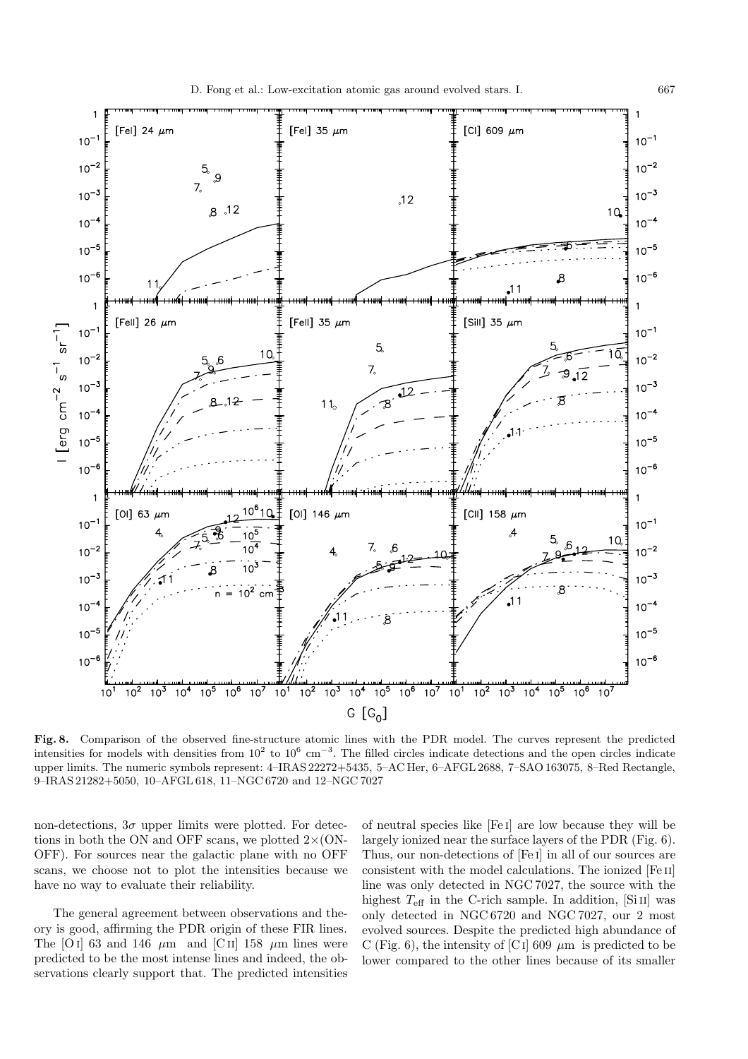

**Fig. 8.** Comparison of the observed fine-structure atomic lines with the PDR model. The curves represent the predicted intensities for models with densities from  $10^2$  to  $10^6$  cm<sup>-3</sup>. The filled circles indicate detections and the open circles indicate upper limits. The numeric symbols represent: 4–IRAS 22272+5435, 5–AC Her, 6–AFGL 2688, 7–SAO 163075, 8–Red Rectangle, 9–IRAS 21282+5050, 10–AFGL 618, 11–NGC 6720 and 12–NGC 7027

non-detections,  $3\sigma$  upper limits were plotted. For detections in both the ON and OFF scans, we plotted  $2\times$  (ON-OFF). For sources near the galactic plane with no OFF scans, we choose not to plot the intensities because we have no way to evaluate their reliability.

The general agreement between observations and theory is good, affirming the PDR origin of these FIR lines. The [O i] 63 and 146  $\mu$ m and [C ii] 158  $\mu$ m lines were predicted to be the most intense lines and indeed, the observations clearly support that. The predicted intensities

of neutral species like [Fe i] are low because they will be largely ionized near the surface layers of the PDR (Fig. 6). Thus, our non-detections of [Fe i] in all of our sources are consistent with the model calculations. The ionized [Fe ii] line was only detected in NGC 7027, the source with the highest  $T_{\text{eff}}$  in the C-rich sample. In addition, [Si II] was only detected in NGC 6720 and NGC 7027, our 2 most evolved sources. Despite the predicted high abundance of C (Fig. 6), the intensity of [C<sub>I</sub>] 609  $\mu$ m is predicted to be lower compared to the other lines because of its smaller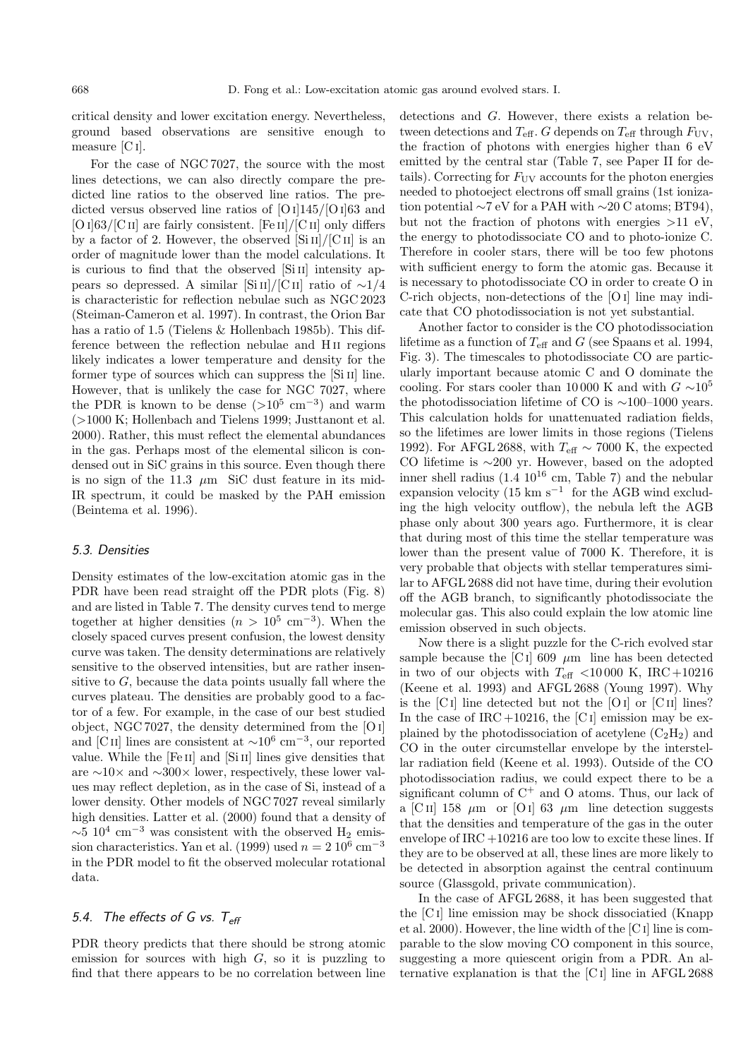critical density and lower excitation energy. Nevertheless, ground based observations are sensitive enough to measure [C i].

For the case of NGC 7027, the source with the most lines detections, we can also directly compare the predicted line ratios to the observed line ratios. The predicted versus observed line ratios of  $[O I]145/[O I]63$  and [O i] $63/$ [C II] are fairly consistent. [Fe II]/[C II] only differs by a factor of 2. However, the observed  $\left[\mathrm{Si}\,\mathrm{II}\right]/\left[\mathrm{C}\,\mathrm{II}\right]$  is an order of magnitude lower than the model calculations. It is curious to find that the observed  $[Si II]$  intensity appears so depressed. A similar [Si II]/[C II] ratio of  $\sim$ 1/4 is characteristic for reflection nebulae such as NGC 2023 (Steiman-Cameron et al. 1997). In contrast, the Orion Bar has a ratio of 1.5 (Tielens & Hollenbach 1985b). This difference between the reflection nebulae and H ii regions likely indicates a lower temperature and density for the former type of sources which can suppress the [Si II] line. However, that is unlikely the case for NGC 7027, where the PDR is known to be dense  $(>10^5 \text{ cm}^{-3})$  and warm (>1000 K; Hollenbach and Tielens 1999; Justtanont et al. 2000). Rather, this must reflect the elemental abundances in the gas. Perhaps most of the elemental silicon is condensed out in SiC grains in this source. Even though there is no sign of the 11.3  $\mu$ m SiC dust feature in its mid-IR spectrum, it could be masked by the PAH emission (Beintema et al. 1996).

#### 5.3. Densities

Density estimates of the low-excitation atomic gas in the PDR have been read straight off the PDR plots (Fig. 8) and are listed in Table 7. The density curves tend to merge together at higher densities  $(n > 10^5 \text{ cm}^{-3})$ . When the closely spaced curves present confusion, the lowest density curve was taken. The density determinations are relatively sensitive to the observed intensities, but are rather insensitive to  $G$ , because the data points usually fall where the curves plateau. The densities are probably good to a factor of a few. For example, in the case of our best studied object, NGC 7027, the density determined from the [O i] and [C ii] lines are consistent at  $\sim 10^6$  cm<sup>-3</sup>, our reported value. While the [Fe ii] and [Si ii] lines give densities that are ∼10× and ∼300× lower, respectively, these lower values may reflect depletion, as in the case of Si, instead of a lower density. Other models of NGC 7027 reveal similarly high densities. Latter et al. (2000) found that a density of  $\sim$ 5 10<sup>4</sup> cm<sup>-3</sup> was consistent with the observed H<sub>2</sub> emission characteristics. Yan et al. (1999) used  $n = 210^6$  cm<sup>-3</sup> in the PDR model to fit the observed molecular rotational data.

## 5.4. The effects of G vs.  $T_{\text{eff}}$

PDR theory predicts that there should be strong atomic emission for sources with high  $G$ , so it is puzzling to find that there appears to be no correlation between line detections and G. However, there exists a relation between detections and  $T_{\text{eff}}$ . G depends on  $T_{\text{eff}}$  through  $F_{\text{UV}}$ , the fraction of photons with energies higher than 6 eV emitted by the central star (Table 7, see Paper II for details). Correcting for  $F_{UV}$  accounts for the photon energies needed to photoeject electrons off small grains (1st ionization potential ∼7 eV for a PAH with ∼20 C atoms; BT94), but not the fraction of photons with energies  $>11$  eV, the energy to photodissociate CO and to photo-ionize C. Therefore in cooler stars, there will be too few photons with sufficient energy to form the atomic gas. Because it is necessary to photodissociate CO in order to create O in C-rich objects, non-detections of the [O i] line may indicate that CO photodissociation is not yet substantial.

Another factor to consider is the CO photodissociation lifetime as a function of  $T_{\text{eff}}$  and G (see Spaans et al. 1994, Fig. 3). The timescales to photodissociate CO are particularly important because atomic C and O dominate the cooling. For stars cooler than 10 000 K and with  $G \sim 10^5$ the photodissociation lifetime of CO is ∼100–1000 years. This calculation holds for unattenuated radiation fields, so the lifetimes are lower limits in those regions (Tielens 1992). For AFGL 2688, with  $T_{\text{eff}} \sim 7000$  K, the expected CO lifetime is ∼200 yr. However, based on the adopted inner shell radius  $(1.4 \ 10^{16} \text{ cm}, \text{Table 7})$  and the nebular expansion velocity (15 km s<sup>-1</sup> for the AGB wind excluding the high velocity outflow), the nebula left the AGB phase only about 300 years ago. Furthermore, it is clear that during most of this time the stellar temperature was lower than the present value of 7000 K. Therefore, it is very probable that objects with stellar temperatures similar to AFGL 2688 did not have time, during their evolution off the AGB branch, to significantly photodissociate the molecular gas. This also could explain the low atomic line emission observed in such objects.

Now there is a slight puzzle for the C-rich evolved star sample because the [C<sub>I</sub>] 609  $\mu$ m line has been detected in two of our objects with  $T_{\text{eff}}$  <10000 K, IRC +10216 (Keene et al. 1993) and AFGL 2688 (Young 1997). Why is the  $|C I|$  line detected but not the  $|O I|$  or  $|C I I|$  lines? In the case of IRC  $+10216$ , the [C I] emission may be explained by the photodissociation of acetylene  $(C_2H_2)$  and CO in the outer circumstellar envelope by the interstellar radiation field (Keene et al. 1993). Outside of the CO photodissociation radius, we could expect there to be a significant column of  $C^+$  and O atoms. Thus, our lack of a [C ii] 158  $\mu$ m or [O i] 63  $\mu$ m line detection suggests that the densities and temperature of the gas in the outer envelope of  $\text{IRC} + 10216$  are too low to excite these lines. If they are to be observed at all, these lines are more likely to be detected in absorption against the central continuum source (Glassgold, private communication).

In the case of AFGL 2688, it has been suggested that the [C i] line emission may be shock dissociatied (Knapp et al. 2000). However, the line width of the [C i] line is comparable to the slow moving CO component in this source, suggesting a more quiescent origin from a PDR. An alternative explanation is that the [C i] line in AFGL 2688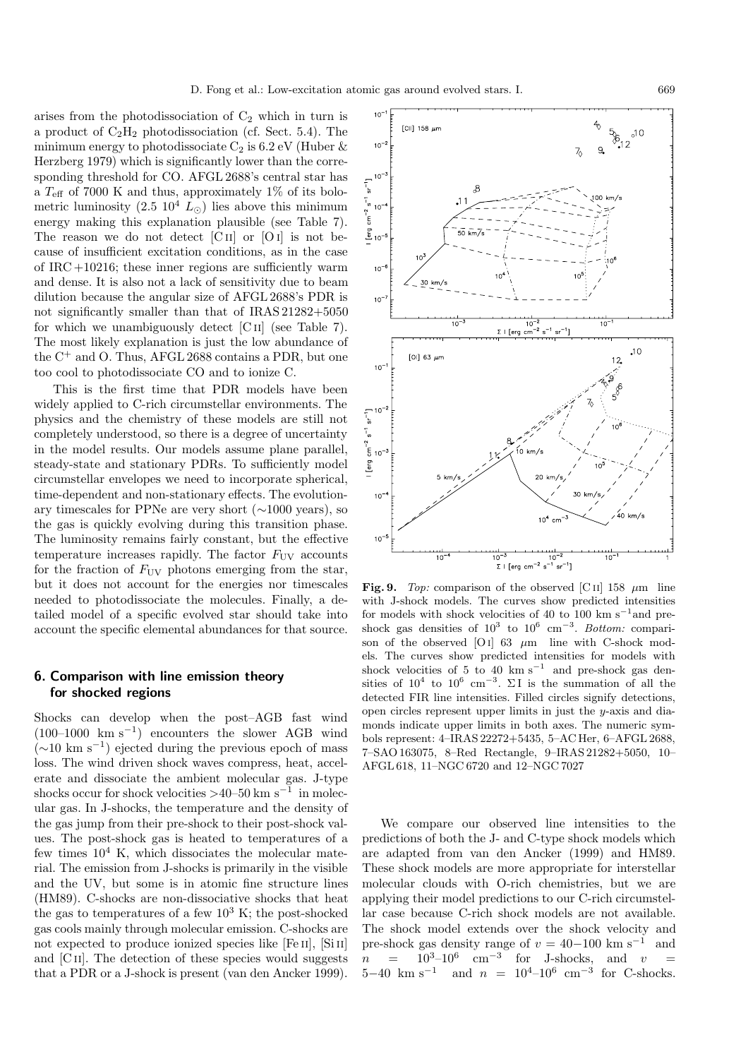arises from the photodissociation of  $C_2$  which in turn is a product of  $C_2H_2$  photodissociation (cf. Sect. 5.4). The minimum energy to photodissociate  $C_2$  is 6.2 eV (Huber  $\&$ Herzberg 1979) which is significantly lower than the corresponding threshold for CO. AFGL 2688's central star has a  $T_{\text{eff}}$  of 7000 K and thus, approximately 1% of its bolometric luminosity  $(2.5 \; 10^4 \; L_{\odot})$  lies above this minimum energy making this explanation plausible (see Table 7). The reason we do not detect  $\begin{bmatrix} C & I \end{bmatrix}$  or  $\begin{bmatrix} O & I \end{bmatrix}$  is not because of insufficient excitation conditions, as in the case of IRC +10216; these inner regions are sufficiently warm and dense. It is also not a lack of sensitivity due to beam dilution because the angular size of AFGL 2688's PDR is not significantly smaller than that of IRAS 21282+5050 for which we unambiguously detect [C ii] (see Table 7). The most likely explanation is just the low abundance of the  $C^+$  and O. Thus, AFGL 2688 contains a PDR, but one too cool to photodissociate CO and to ionize C.

This is the first time that PDR models have been widely applied to C-rich circumstellar environments. The physics and the chemistry of these models are still not completely understood, so there is a degree of uncertainty in the model results. Our models assume plane parallel, steady-state and stationary PDRs. To sufficiently model circumstellar envelopes we need to incorporate spherical, time-dependent and non-stationary effects. The evolutionary timescales for PPNe are very short (∼1000 years), so the gas is quickly evolving during this transition phase. The luminosity remains fairly constant, but the effective temperature increases rapidly. The factor  $F_{UV}$  accounts for the fraction of  $F_{UV}$  photons emerging from the star, but it does not account for the energies nor timescales needed to photodissociate the molecules. Finally, a detailed model of a specific evolved star should take into account the specific elemental abundances for that source.

## **6. Comparison with line emission theory for shocked regions**

Shocks can develop when the post–AGB fast wind  $(100–1000 \text{ km s}^{-1})$  encounters the slower AGB wind  $(\sim 10 \text{ km s}^{-1})$  ejected during the previous epoch of mass loss. The wind driven shock waves compress, heat, accelerate and dissociate the ambient molecular gas. J-type shocks occur for shock velocities  $>40-50$  km s<sup>-1</sup> in molecular gas. In J-shocks, the temperature and the density of the gas jump from their pre-shock to their post-shock values. The post-shock gas is heated to temperatures of a few times  $10^4$  K, which dissociates the molecular material. The emission from J-shocks is primarily in the visible and the UV, but some is in atomic fine structure lines (HM89). C-shocks are non-dissociative shocks that heat the gas to temperatures of a few  $10^3$  K; the post-shocked gas cools mainly through molecular emission. C-shocks are not expected to produce ionized species like [Fe II], [Si II] and [C<sub>II</sub>]. The detection of these species would suggests that a PDR or a J-shock is present (van den Ancker 1999).



**Fig. 9.** Top: comparison of the observed [C II] 158  $\mu$ m line with J-shock models. The curves show predicted intensities for models with shock velocities of 40 to 100 km s<sup> $-1$ </sup>and preshock gas densities of  $10^3$  to  $10^6$  cm<sup>-3</sup>. Bottom: comparison of the observed  $[O I]$  63  $\mu$ m line with C-shock models. The curves show predicted intensities for models with shock velocities of 5 to 40 km s<sup> $-1$ </sup> and pre-shock gas densities of  $10^4$  to  $10^6$  cm<sup>-3</sup>. ∑I is the summation of all the detected FIR line intensities. Filled circles signify detections, open circles represent upper limits in just the y-axis and diamonds indicate upper limits in both axes. The numeric symbols represent: 4–IRAS 22272+5435, 5–AC Her, 6–AFGL 2688, 7–SAO 163075, 8–Red Rectangle, 9–IRAS 21282+5050, 10– AFGL 618, 11–NGC 6720 and 12–NGC 7027

We compare our observed line intensities to the predictions of both the J- and C-type shock models which are adapted from van den Ancker (1999) and HM89. These shock models are more appropriate for interstellar molecular clouds with O-rich chemistries, but we are applying their model predictions to our C-rich circumstellar case because C-rich shock models are not available. The shock model extends over the shock velocity and pre-shock gas density range of  $v = 40-100$  km s<sup>-1</sup> and  $n = 10^3-10^6$  cm<sup>-3</sup> for J-shocks, and  $v =$ 5−40 km s<sup>-1</sup> and  $n = 10^4$ -10<sup>6</sup> cm<sup>-3</sup> for C-shocks.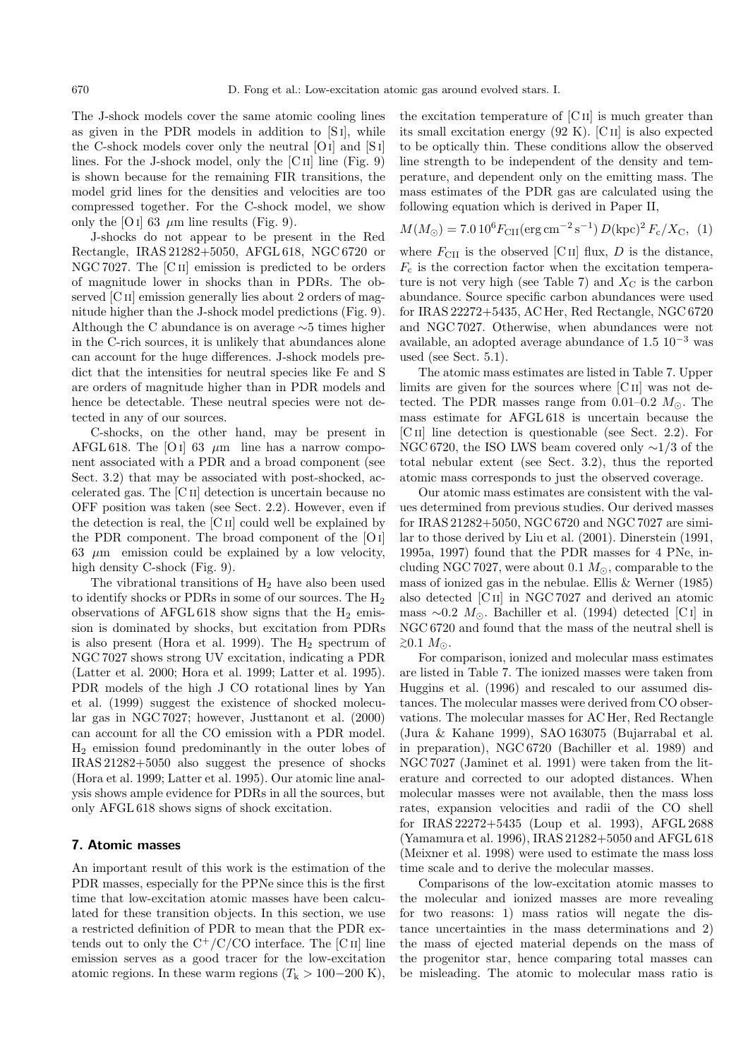The J-shock models cover the same atomic cooling lines as given in the PDR models in addition to [S i], while the C-shock models cover only the neutral [Oi] and [S i] lines. For the J-shock model, only the  $\lbrack C \rbrack$  line (Fig. 9) is shown because for the remaining FIR transitions, the model grid lines for the densities and velocities are too compressed together. For the C-shock model, we show only the [O i] 63  $\mu$ m line results (Fig. 9).

J-shocks do not appear to be present in the Red Rectangle, IRAS 21282+5050, AFGL 618, NGC 6720 or NGC 7027. The [C<sub>II</sub>] emission is predicted to be orders of magnitude lower in shocks than in PDRs. The observed [C<sub>II</sub>] emission generally lies about 2 orders of magnitude higher than the J-shock model predictions (Fig. 9). Although the C abundance is on average ∼5 times higher in the C-rich sources, it is unlikely that abundances alone can account for the huge differences. J-shock models predict that the intensities for neutral species like Fe and S are orders of magnitude higher than in PDR models and hence be detectable. These neutral species were not detected in any of our sources.

C-shocks, on the other hand, may be present in AFGL 618. The [O I] 63  $\mu$ m line has a narrow component associated with a PDR and a broad component (see Sect. 3.2) that may be associated with post-shocked, accelerated gas. The [C ii] detection is uncertain because no OFF position was taken (see Sect. 2.2). However, even if the detection is real, the [C ii] could well be explained by the PDR component. The broad component of the [Oi] 63  $\mu$ m emission could be explained by a low velocity, high density C-shock (Fig. 9).

The vibrational transitions of  $H_2$  have also been used to identify shocks or PDRs in some of our sources. The H<sup>2</sup> observations of AFGL 618 show signs that the  $H_2$  emission is dominated by shocks, but excitation from PDRs is also present (Hora et al. 1999). The  $H_2$  spectrum of NGC 7027 shows strong UV excitation, indicating a PDR (Latter et al. 2000; Hora et al. 1999; Latter et al. 1995). PDR models of the high J CO rotational lines by Yan et al. (1999) suggest the existence of shocked molecular gas in NGC 7027; however, Justtanont et al. (2000) can account for all the CO emission with a PDR model. H<sup>2</sup> emission found predominantly in the outer lobes of IRAS 21282+5050 also suggest the presence of shocks (Hora et al. 1999; Latter et al. 1995). Our atomic line analysis shows ample evidence for PDRs in all the sources, but only AFGL 618 shows signs of shock excitation.

#### **7. Atomic masses**

An important result of this work is the estimation of the PDR masses, especially for the PPNe since this is the first time that low-excitation atomic masses have been calculated for these transition objects. In this section, we use a restricted definition of PDR to mean that the PDR extends out to only the  $C^+/C/CO$  interface. The [C II] line emission serves as a good tracer for the low-excitation atomic regions. In these warm regions  $(T_{k} > 100-200 \text{ K})$ ,

the excitation temperature of  $\overline{C}$  II] is much greater than its small excitation energy  $(92 \text{ K})$ . [C II] is also expected to be optically thin. These conditions allow the observed line strength to be independent of the density and temperature, and dependent only on the emitting mass. The mass estimates of the PDR gas are calculated using the following equation which is derived in Paper II,

$$
M(M_{\odot}) = 7.010^{6} F_{\rm CII} (\text{erg cm}^{-2} \text{ s}^{-1}) D(\text{kpc})^{2} F_{\rm c}/X_{\rm C}, (1)
$$

where  $F_{\text{CII}}$  is the observed [C II] flux, D is the distance,  $F_c$  is the correction factor when the excitation temperature is not very high (see Table 7) and  $X_{\rm C}$  is the carbon abundance. Source specific carbon abundances were used for IRAS 22272+5435, AC Her, Red Rectangle, NGC 6720 and NGC 7027. Otherwise, when abundances were not available, an adopted average abundance of 1.5  $10^{-3}$  was used (see Sect. 5.1).

The atomic mass estimates are listed in Table 7. Upper limits are given for the sources where [C II] was not detected. The PDR masses range from 0.01–0.2  $M_{\odot}$ . The mass estimate for AFGL 618 is uncertain because the [C ii] line detection is questionable (see Sect. 2.2). For NGC 6720, the ISO LWS beam covered only ∼1/3 of the total nebular extent (see Sect. 3.2), thus the reported atomic mass corresponds to just the observed coverage.

Our atomic mass estimates are consistent with the values determined from previous studies. Our derived masses for IRAS 21282+5050, NGC 6720 and NGC 7027 are similar to those derived by Liu et al. (2001). Dinerstein (1991, 1995a, 1997) found that the PDR masses for 4 PNe, including NGC 7027, were about 0.1  $M_{\odot}$ , comparable to the mass of ionized gas in the nebulae. Ellis & Werner (1985) also detected [C<sub>II</sub>] in NGC 7027 and derived an atomic mass  $\sim$ 0.2 M<sub>☉</sub>. Bachiller et al. (1994) detected [C<sub>I</sub>] in NGC 6720 and found that the mass of the neutral shell is  $≥0.1$   $M_{\odot}$ .

For comparison, ionized and molecular mass estimates are listed in Table 7. The ionized masses were taken from Huggins et al. (1996) and rescaled to our assumed distances. The molecular masses were derived from CO observations. The molecular masses for AC Her, Red Rectangle (Jura & Kahane 1999), SAO 163075 (Bujarrabal et al. in preparation), NGC 6720 (Bachiller et al. 1989) and NGC 7027 (Jaminet et al. 1991) were taken from the literature and corrected to our adopted distances. When molecular masses were not available, then the mass loss rates, expansion velocities and radii of the CO shell for IRAS 22272+5435 (Loup et al. 1993), AFGL 2688 (Yamamura et al. 1996), IRAS 21282+5050 and AFGL 618 (Meixner et al. 1998) were used to estimate the mass loss time scale and to derive the molecular masses.

Comparisons of the low-excitation atomic masses to the molecular and ionized masses are more revealing for two reasons: 1) mass ratios will negate the distance uncertainties in the mass determinations and 2) the mass of ejected material depends on the mass of the progenitor star, hence comparing total masses can be misleading. The atomic to molecular mass ratio is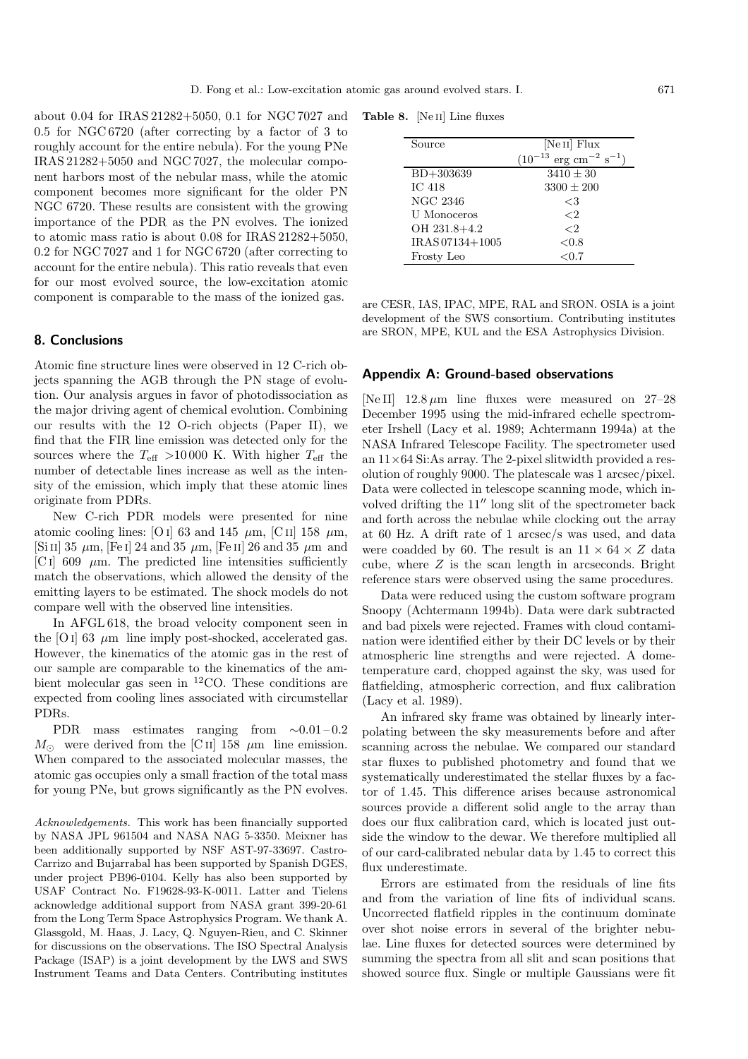about 0.04 for IRAS 21282+5050, 0.1 for NGC 7027 and 0.5 for NGC 6720 (after correcting by a factor of 3 to roughly account for the entire nebula). For the young PNe IRAS 21282+5050 and NGC 7027, the molecular component harbors most of the nebular mass, while the atomic component becomes more significant for the older PN NGC 6720. These results are consistent with the growing importance of the PDR as the PN evolves. The ionized to atomic mass ratio is about 0.08 for IRAS 21282+5050, 0.2 for NGC 7027 and 1 for NGC 6720 (after correcting to account for the entire nebula). This ratio reveals that even for our most evolved source, the low-excitation atomic component is comparable to the mass of the ionized gas.

## **8. Conclusions**

Atomic fine structure lines were observed in 12 C-rich objects spanning the AGB through the PN stage of evolution. Our analysis argues in favor of photodissociation as the major driving agent of chemical evolution. Combining our results with the 12 O-rich objects (Paper II), we find that the FIR line emission was detected only for the sources where the  $T_{\text{eff}} > 10000$  K. With higher  $T_{\text{eff}}$  the number of detectable lines increase as well as the intensity of the emission, which imply that these atomic lines originate from PDRs.

New C-rich PDR models were presented for nine atomic cooling lines: [O i] 63 and 145  $\,\mu$ m, [C ii] 158  $\,\mu$ m, [Si II] 35  $\mu$ m, [Fe I] 24 and 35  $\mu$ m, [Fe II] 26 and 35  $\mu$ m and [C i] 609  $\mu$ m. The predicted line intensities sufficiently match the observations, which allowed the density of the emitting layers to be estimated. The shock models do not compare well with the observed line intensities.

In AFGL 618, the broad velocity component seen in the [O I] 63  $\mu$ m line imply post-shocked, accelerated gas. However, the kinematics of the atomic gas in the rest of our sample are comparable to the kinematics of the ambient molecular gas seen in  ${}^{12}$ CO. These conditions are expected from cooling lines associated with circumstellar PDRs.

PDR mass estimates ranging from  $\sim 0.01 - 0.2$  $M_{\odot}$  were derived from the [C ii] 158  $\mu$ m line emission. When compared to the associated molecular masses, the atomic gas occupies only a small fraction of the total mass for young PNe, but grows significantly as the PN evolves.

Acknowledgements. This work has been financially supported by NASA JPL 961504 and NASA NAG 5-3350. Meixner has been additionally supported by NSF AST-97-33697. Castro-Carrizo and Bujarrabal has been supported by Spanish DGES, under project PB96-0104. Kelly has also been supported by USAF Contract No. F19628-93-K-0011. Latter and Tielens acknowledge additional support from NASA grant 399-20-61 from the Long Term Space Astrophysics Program. We thank A. Glassgold, M. Haas, J. Lacy, Q. Nguyen-Rieu, and C. Skinner for discussions on the observations. The ISO Spectral Analysis Package (ISAP) is a joint development by the LWS and SWS Instrument Teams and Data Centers. Contributing institutes

**Table 8.** [Ne ii] Line fluxes

| Source             | [Ne <sub>II</sub> ] Flux                        |
|--------------------|-------------------------------------------------|
|                    | $(10^{-13} \text{ erg cm}^{-2} \text{ s}^{-1})$ |
| $BD + 303639$      | $3410 \pm 30$                                   |
| <b>IC 418</b>      | $3300 \pm 200$                                  |
| <b>NGC 2346</b>    | <3                                              |
| <b>U</b> Monoceros | ${<}2$                                          |
| OH 231.8+4.2       | ${<}2$                                          |
| IRAS 07134+1005    | ${<}0.8$                                        |
| Frosty Leo         | ${<}0.7$                                        |

are CESR, IAS, IPAC, MPE, RAL and SRON. OSIA is a joint development of the SWS consortium. Contributing institutes are SRON, MPE, KUL and the ESA Astrophysics Division.

## **Appendix A: Ground-based observations**

[Ne II]  $12.8 \mu m$  line fluxes were measured on 27–28 December 1995 using the mid-infrared echelle spectrometer Irshell (Lacy et al. 1989; Achtermann 1994a) at the NASA Infrared Telescope Facility. The spectrometer used an 11×64 Si:As array. The 2-pixel slitwidth provided a resolution of roughly 9000. The platescale was 1 arcsec/pixel. Data were collected in telescope scanning mode, which involved drifting the  $11''$  long slit of the spectrometer back and forth across the nebulae while clocking out the array at 60 Hz. A drift rate of 1 arcsec/s was used, and data were coadded by 60. The result is an  $11 \times 64 \times Z$  data cube, where  $Z$  is the scan length in arcseconds. Bright reference stars were observed using the same procedures.

Data were reduced using the custom software program Snoopy (Achtermann 1994b). Data were dark subtracted and bad pixels were rejected. Frames with cloud contamination were identified either by their DC levels or by their atmospheric line strengths and were rejected. A dometemperature card, chopped against the sky, was used for flatfielding, atmospheric correction, and flux calibration (Lacy et al. 1989).

An infrared sky frame was obtained by linearly interpolating between the sky measurements before and after scanning across the nebulae. We compared our standard star fluxes to published photometry and found that we systematically underestimated the stellar fluxes by a factor of 1.45. This difference arises because astronomical sources provide a different solid angle to the array than does our flux calibration card, which is located just outside the window to the dewar. We therefore multiplied all of our card-calibrated nebular data by 1.45 to correct this flux underestimate.

Errors are estimated from the residuals of line fits and from the variation of line fits of individual scans. Uncorrected flatfield ripples in the continuum dominate over shot noise errors in several of the brighter nebulae. Line fluxes for detected sources were determined by summing the spectra from all slit and scan positions that showed source flux. Single or multiple Gaussians were fit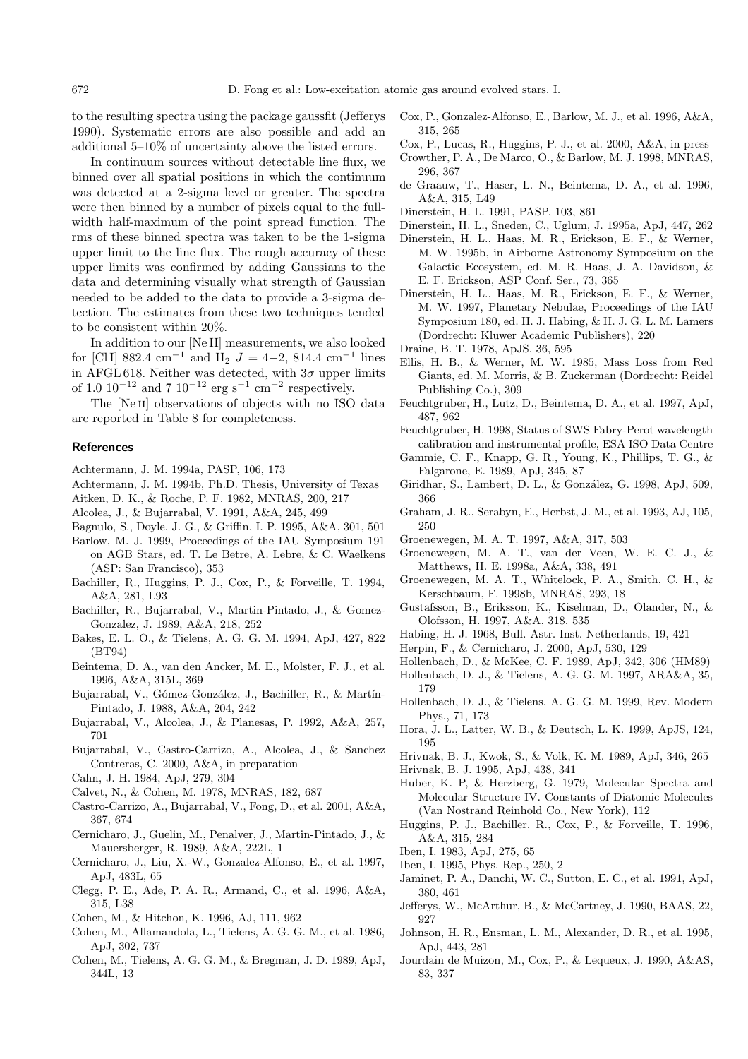to the resulting spectra using the package gaussfit (Jefferys 1990). Systematic errors are also possible and add an additional 5–10% of uncertainty above the listed errors.

In continuum sources without detectable line flux, we binned over all spatial positions in which the continuum was detected at a 2-sigma level or greater. The spectra were then binned by a number of pixels equal to the fullwidth half-maximum of the point spread function. The rms of these binned spectra was taken to be the 1-sigma upper limit to the line flux. The rough accuracy of these upper limits was confirmed by adding Gaussians to the data and determining visually what strength of Gaussian needed to be added to the data to provide a 3-sigma detection. The estimates from these two techniques tended to be consistent within 20%.

In addition to our [Ne II] measurements, we also looked for [Cl I] 882.4 cm<sup>-1</sup> and H<sub>2</sub>  $J = 4-2$ , 814.4 cm<sup>-1</sup> lines in AFGL 618. Neither was detected, with  $3\sigma$  upper limits of 1.0  $10^{-12}$  and 7  $10^{-12}$  erg s<sup>-1</sup> cm<sup>-2</sup> respectively.

The [Ne<sub>II</sub>] observations of objects with no ISO data are reported in Table 8 for completeness.

#### **References**

- Achtermann, J. M. 1994a, PASP, 106, 173
- Achtermann, J. M. 1994b, Ph.D. Thesis, University of Texas
- Aitken, D. K., & Roche, P. F. 1982, MNRAS, 200, 217
- Alcolea, J., & Bujarrabal, V. 1991, A&A, 245, 499
- Bagnulo, S., Doyle, J. G., & Griffin, I. P. 1995, A&A, 301, 501
- Barlow, M. J. 1999, Proceedings of the IAU Symposium 191 on AGB Stars, ed. T. Le Betre, A. Lebre, & C. Waelkens (ASP: San Francisco), 353
- Bachiller, R., Huggins, P. J., Cox, P., & Forveille, T. 1994, A&A, 281, L93
- Bachiller, R., Bujarrabal, V., Martin-Pintado, J., & Gomez-Gonzalez, J. 1989, A&A, 218, 252
- Bakes, E. L. O., & Tielens, A. G. G. M. 1994, ApJ, 427, 822 (BT94)
- Beintema, D. A., van den Ancker, M. E., Molster, F. J., et al. 1996, A&A, 315L, 369
- Bujarrabal, V., Gómez-González, J., Bachiller, R., & Martín-Pintado, J. 1988, A&A, 204, 242
- Bujarrabal, V., Alcolea, J., & Planesas, P. 1992, A&A, 257, 701
- Bujarrabal, V., Castro-Carrizo, A., Alcolea, J., & Sanchez Contreras, C. 2000, A&A, in preparation
- Cahn, J. H. 1984, ApJ, 279, 304
- Calvet, N., & Cohen, M. 1978, MNRAS, 182, 687
- Castro-Carrizo, A., Bujarrabal, V., Fong, D., et al. 2001, A&A, 367, 674
- Cernicharo, J., Guelin, M., Penalver, J., Martin-Pintado, J., & Mauersberger, R. 1989, A&A, 222L, 1
- Cernicharo, J., Liu, X.-W., Gonzalez-Alfonso, E., et al. 1997, ApJ, 483L, 65
- Clegg, P. E., Ade, P. A. R., Armand, C., et al. 1996, A&A, 315, L38
- Cohen, M., & Hitchon, K. 1996, AJ, 111, 962
- Cohen, M., Allamandola, L., Tielens, A. G. G. M., et al. 1986, ApJ, 302, 737
- Cohen, M., Tielens, A. G. G. M., & Bregman, J. D. 1989, ApJ, 344L, 13
- Cox, P., Gonzalez-Alfonso, E., Barlow, M. J., et al. 1996, A&A, 315, 265
- Cox, P., Lucas, R., Huggins, P. J., et al. 2000, A&A, in press
- Crowther, P. A., De Marco, O., & Barlow, M. J. 1998, MNRAS, 296, 367
- de Graauw, T., Haser, L. N., Beintema, D. A., et al. 1996, A&A, 315, L49
- Dinerstein, H. L. 1991, PASP, 103, 861
- Dinerstein, H. L., Sneden, C., Uglum, J. 1995a, ApJ, 447, 262
- Dinerstein, H. L., Haas, M. R., Erickson, E. F., & Werner, M. W. 1995b, in Airborne Astronomy Symposium on the Galactic Ecosystem, ed. M. R. Haas, J. A. Davidson, & E. F. Erickson, ASP Conf. Ser., 73, 365
- Dinerstein, H. L., Haas, M. R., Erickson, E. F., & Werner, M. W. 1997, Planetary Nebulae, Proceedings of the IAU Symposium 180, ed. H. J. Habing, & H. J. G. L. M. Lamers (Dordrecht: Kluwer Academic Publishers), 220
- Draine, B. T. 1978, ApJS, 36, 595
- Ellis, H. B., & Werner, M. W. 1985, Mass Loss from Red Giants, ed. M. Morris, & B. Zuckerman (Dordrecht: Reidel Publishing Co.), 309
- Feuchtgruber, H., Lutz, D., Beintema, D. A., et al. 1997, ApJ, 487, 962
- Feuchtgruber, H. 1998, Status of SWS Fabry-Perot wavelength calibration and instrumental profile, ESA ISO Data Centre
- Gammie, C. F., Knapp, G. R., Young, K., Phillips, T. G., & Falgarone, E. 1989, ApJ, 345, 87
- Giridhar, S., Lambert, D. L., & González, G. 1998, ApJ, 509, 366
- Graham, J. R., Serabyn, E., Herbst, J. M., et al. 1993, AJ, 105, 250
- Groenewegen, M. A. T. 1997, A&A, 317, 503
- Groenewegen, M. A. T., van der Veen, W. E. C. J., & Matthews, H. E. 1998a, A&A, 338, 491
- Groenewegen, M. A. T., Whitelock, P. A., Smith, C. H., & Kerschbaum, F. 1998b, MNRAS, 293, 18
- Gustafsson, B., Eriksson, K., Kiselman, D., Olander, N., & Olofsson, H. 1997, A&A, 318, 535
- Habing, H. J. 1968, Bull. Astr. Inst. Netherlands, 19, 421
- Herpin, F., & Cernicharo, J. 2000, ApJ, 530, 129
- Hollenbach, D., & McKee, C. F. 1989, ApJ, 342, 306 (HM89)
- Hollenbach, D. J., & Tielens, A. G. G. M. 1997, ARA&A, 35, 179
- Hollenbach, D. J., & Tielens, A. G. G. M. 1999, Rev. Modern Phys., 71, 173
- Hora, J. L., Latter, W. B., & Deutsch, L. K. 1999, ApJS, 124, 195
- Hrivnak, B. J., Kwok, S., & Volk, K. M. 1989, ApJ, 346, 265
- Hrivnak, B. J. 1995, ApJ, 438, 341
- Huber, K. P, & Herzberg, G. 1979, Molecular Spectra and Molecular Structure IV. Constants of Diatomic Molecules (Van Nostrand Reinhold Co., New York), 112
- Huggins, P. J., Bachiller, R., Cox, P., & Forveille, T. 1996, A&A, 315, 284
- Iben, I. 1983, ApJ, 275, 65
- Iben, I. 1995, Phys. Rep., 250, 2
- Jaminet, P. A., Danchi, W. C., Sutton, E. C., et al. 1991, ApJ, 380, 461
- Jefferys, W., McArthur, B., & McCartney, J. 1990, BAAS, 22, 927
- Johnson, H. R., Ensman, L. M., Alexander, D. R., et al. 1995, ApJ, 443, 281
- Jourdain de Muizon, M., Cox, P., & Lequeux, J. 1990, A&AS, 83, 337